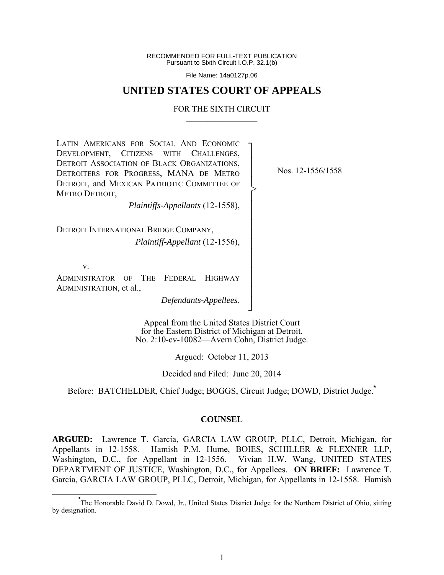RECOMMENDED FOR FULL-TEXT PUBLICATION Pursuant to Sixth Circuit I.O.P. 32.1(b)

File Name: 14a0127p.06

# **UNITED STATES COURT OF APPEALS**

### FOR THE SIXTH CIRCUIT  $\mathcal{L}_\text{max}$

┐ │ │ │ │ │ │ │ │ │ │ │ │ │ │ │ │ ┘

>

LATIN AMERICANS FOR SOCIAL AND ECONOMIC DEVELOPMENT, CITIZENS WITH CHALLENGES, DETROIT ASSOCIATION OF BLACK ORGANIZATIONS, DETROITERS FOR PROGRESS, MANA DE METRO DETROIT, and MEXICAN PATRIOTIC COMMITTEE OF METRO DETROIT,

Nos. 12-1556/1558

*Plaintiffs-Appellants* (12-1558),

DETROIT INTERNATIONAL BRIDGE COMPANY, *Plaintiff-Appellant* (12-1556),

v.

ADMINISTRATOR OF THE FEDERAL HIGHWAY ADMINISTRATION, et al.,

*Defendants-Appellees*.

Appeal from the United States District Court for the Eastern District of Michigan at Detroit. No. 2:10-cv-10082—Avern Cohn, District Judge.

Argued: October 11, 2013

Decided and Filed: June 20, 2014

Before: BATCHELDER, Chief Judge; BOGGS, Circuit Judge; DOWD, District Judge.**\***  $\frac{1}{2}$ 

### **COUNSEL**

**ARGUED:** Lawrence T. García, GARCIA LAW GROUP, PLLC, Detroit, Michigan, for Appellants in 12-1558. Hamish P.M. Hume, BOIES, SCHILLER & FLEXNER LLP, Washington, D.C., for Appellant in 12-1556. Vivian H.W. Wang, UNITED STATES DEPARTMENT OF JUSTICE, Washington, D.C., for Appellees. **ON BRIEF:** Lawrence T. García, GARCIA LAW GROUP, PLLC, Detroit, Michigan, for Appellants in 12-1558. Hamish

**\*** The Honorable David D. Dowd, Jr., United States District Judge for the Northern District of Ohio, sitting by designation.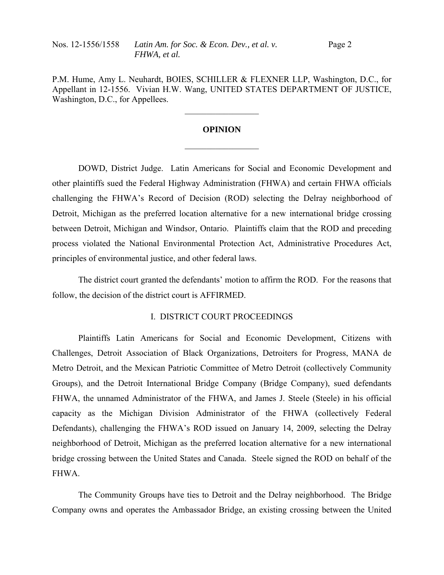P.M. Hume, Amy L. Neuhardt, BOIES, SCHILLER & FLEXNER LLP, Washington, D.C., for Appellant in 12-1556. Vivian H.W. Wang, UNITED STATES DEPARTMENT OF JUSTICE, Washington, D.C., for Appellees.

 $\mathcal{L}_\text{max}$ 

## **OPINION**

 $\frac{1}{2}$ 

DOWD, District Judge. Latin Americans for Social and Economic Development and other plaintiffs sued the Federal Highway Administration (FHWA) and certain FHWA officials challenging the FHWA's Record of Decision (ROD) selecting the Delray neighborhood of Detroit, Michigan as the preferred location alternative for a new international bridge crossing between Detroit, Michigan and Windsor, Ontario. Plaintiffs claim that the ROD and preceding process violated the National Environmental Protection Act, Administrative Procedures Act, principles of environmental justice, and other federal laws.

 The district court granted the defendants' motion to affirm the ROD. For the reasons that follow, the decision of the district court is AFFIRMED.

## I. DISTRICT COURT PROCEEDINGS

 Plaintiffs Latin Americans for Social and Economic Development, Citizens with Challenges, Detroit Association of Black Organizations, Detroiters for Progress, MANA de Metro Detroit, and the Mexican Patriotic Committee of Metro Detroit (collectively Community Groups), and the Detroit International Bridge Company (Bridge Company), sued defendants FHWA, the unnamed Administrator of the FHWA, and James J. Steele (Steele) in his official capacity as the Michigan Division Administrator of the FHWA (collectively Federal Defendants), challenging the FHWA's ROD issued on January 14, 2009, selecting the Delray neighborhood of Detroit, Michigan as the preferred location alternative for a new international bridge crossing between the United States and Canada. Steele signed the ROD on behalf of the FHWA.

 The Community Groups have ties to Detroit and the Delray neighborhood. The Bridge Company owns and operates the Ambassador Bridge, an existing crossing between the United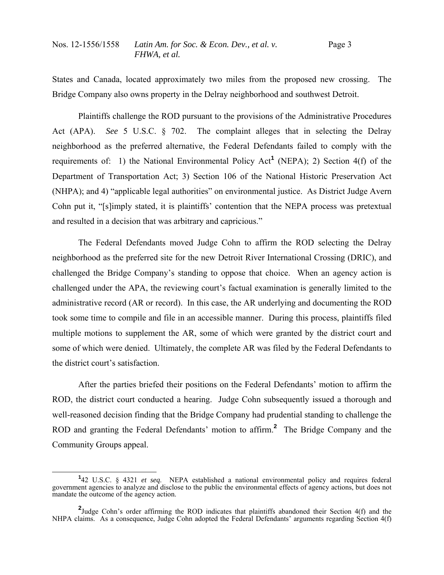States and Canada, located approximately two miles from the proposed new crossing. The Bridge Company also owns property in the Delray neighborhood and southwest Detroit.

 Plaintiffs challenge the ROD pursuant to the provisions of the Administrative Procedures Act (APA). *See* 5 U.S.C. § 702. The complaint alleges that in selecting the Delray neighborhood as the preferred alternative, the Federal Defendants failed to comply with the requirements of: 1) the National Environmental Policy Act<sup>1</sup> (NEPA); 2) Section  $4(f)$  of the Department of Transportation Act; 3) Section 106 of the National Historic Preservation Act (NHPA); and 4) "applicable legal authorities" on environmental justice. As District Judge Avern Cohn put it, "[s]imply stated, it is plaintiffs' contention that the NEPA process was pretextual and resulted in a decision that was arbitrary and capricious."

 The Federal Defendants moved Judge Cohn to affirm the ROD selecting the Delray neighborhood as the preferred site for the new Detroit River International Crossing (DRIC), and challenged the Bridge Company's standing to oppose that choice. When an agency action is challenged under the APA, the reviewing court's factual examination is generally limited to the administrative record (AR or record). In this case, the AR underlying and documenting the ROD took some time to compile and file in an accessible manner. During this process, plaintiffs filed multiple motions to supplement the AR, some of which were granted by the district court and some of which were denied. Ultimately, the complete AR was filed by the Federal Defendants to the district court's satisfaction.

 After the parties briefed their positions on the Federal Defendants' motion to affirm the ROD, the district court conducted a hearing. Judge Cohn subsequently issued a thorough and well-reasoned decision finding that the Bridge Company had prudential standing to challenge the ROD and granting the Federal Defendants' motion to affirm.**<sup>2</sup>** The Bridge Company and the Community Groups appeal.

**<sup>1</sup>** 42 U.S.C. § 4321 *et seq*. NEPA established a national environmental policy and requires federal government agencies to analyze and disclose to the public the environmental effects of agency actions, but does not mandate the outcome of the agency action.

<sup>&</sup>lt;sup>2</sup>Judge Cohn's order affirming the ROD indicates that plaintiffs abandoned their Section 4(f) and the NHPA claims. As a consequence, Judge Cohn adopted the Federal Defendants' arguments regarding Section 4(f)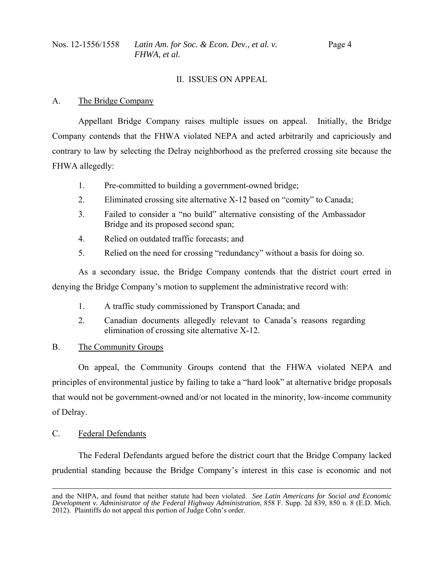## II. ISSUES ON APPEAL

## A. The Bridge Company

 Appellant Bridge Company raises multiple issues on appeal. Initially, the Bridge Company contends that the FHWA violated NEPA and acted arbitrarily and capriciously and contrary to law by selecting the Delray neighborhood as the preferred crossing site because the FHWA allegedly:

- 1. Pre-committed to building a government-owned bridge;
- 2. Eliminated crossing site alternative X-12 based on "comity" to Canada;
- 3. Failed to consider a "no build" alternative consisting of the Ambassador Bridge and its proposed second span;
- 4. Relied on outdated traffic forecasts; and
- 5. Relied on the need for crossing "redundancy" without a basis for doing so.

 As a secondary issue, the Bridge Company contends that the district court erred in denying the Bridge Company's motion to supplement the administrative record with:

- 1. A traffic study commissioned by Transport Canada; and
- 2. Canadian documents allegedly relevant to Canada's reasons regarding elimination of crossing site alternative X-12.
- B. The Community Groups

 On appeal, the Community Groups contend that the FHWA violated NEPA and principles of environmental justice by failing to take a "hard look" at alternative bridge proposals that would not be government-owned and/or not located in the minority, low-income community of Delray.

C. Federal Defendants

 The Federal Defendants argued before the district court that the Bridge Company lacked prudential standing because the Bridge Company's interest in this case is economic and not

and the NHPA, and found that neither statute had been violated. *See Latin Americans for Social and Economic Development v. Administrator of the Federal Highway Administration*, 858 F. Supp. 2d 839, 850 n. 8 (E.D. Mich. 2012). Plaintiffs do not appeal this portion of Judge Cohn's order.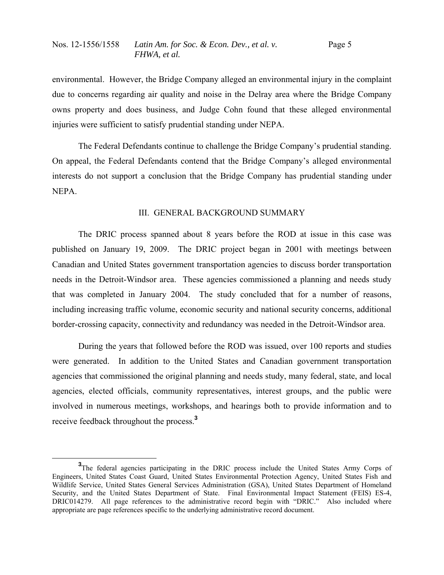environmental. However, the Bridge Company alleged an environmental injury in the complaint due to concerns regarding air quality and noise in the Delray area where the Bridge Company owns property and does business, and Judge Cohn found that these alleged environmental injuries were sufficient to satisfy prudential standing under NEPA.

 The Federal Defendants continue to challenge the Bridge Company's prudential standing. On appeal, the Federal Defendants contend that the Bridge Company's alleged environmental interests do not support a conclusion that the Bridge Company has prudential standing under NEPA.

### III. GENERAL BACKGROUND SUMMARY

 The DRIC process spanned about 8 years before the ROD at issue in this case was published on January 19, 2009. The DRIC project began in 2001 with meetings between Canadian and United States government transportation agencies to discuss border transportation needs in the Detroit-Windsor area. These agencies commissioned a planning and needs study that was completed in January 2004. The study concluded that for a number of reasons, including increasing traffic volume, economic security and national security concerns, additional border-crossing capacity, connectivity and redundancy was needed in the Detroit-Windsor area.

 During the years that followed before the ROD was issued, over 100 reports and studies were generated. In addition to the United States and Canadian government transportation agencies that commissioned the original planning and needs study, many federal, state, and local agencies, elected officials, community representatives, interest groups, and the public were involved in numerous meetings, workshops, and hearings both to provide information and to receive feedback throughout the process.**<sup>3</sup>**

**<sup>3</sup>** <sup>3</sup>The federal agencies participating in the DRIC process include the United States Army Corps of Engineers, United States Coast Guard, United States Environmental Protection Agency, United States Fish and Wildlife Service, United States General Services Administration (GSA), United States Department of Homeland Security, and the United States Department of State. Final Environmental Impact Statement (FEIS) ES-4, DRIC014279. All page references to the administrative record begin with "DRIC." Also included where appropriate are page references specific to the underlying administrative record document.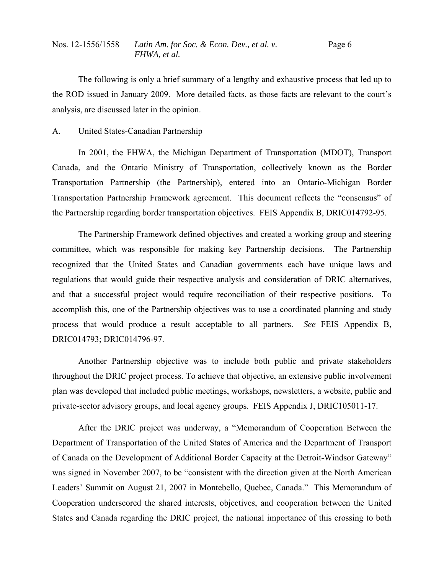The following is only a brief summary of a lengthy and exhaustive process that led up to the ROD issued in January 2009. More detailed facts, as those facts are relevant to the court's analysis, are discussed later in the opinion.

## A. United States-Canadian Partnership

 In 2001, the FHWA, the Michigan Department of Transportation (MDOT), Transport Canada, and the Ontario Ministry of Transportation, collectively known as the Border Transportation Partnership (the Partnership), entered into an Ontario-Michigan Border Transportation Partnership Framework agreement. This document reflects the "consensus" of the Partnership regarding border transportation objectives. FEIS Appendix B, DRIC014792-95.

 The Partnership Framework defined objectives and created a working group and steering committee, which was responsible for making key Partnership decisions. The Partnership recognized that the United States and Canadian governments each have unique laws and regulations that would guide their respective analysis and consideration of DRIC alternatives, and that a successful project would require reconciliation of their respective positions. To accomplish this, one of the Partnership objectives was to use a coordinated planning and study process that would produce a result acceptable to all partners. *See* FEIS Appendix B, DRIC014793; DRIC014796-97.

 Another Partnership objective was to include both public and private stakeholders throughout the DRIC project process. To achieve that objective, an extensive public involvement plan was developed that included public meetings, workshops, newsletters, a website, public and private-sector advisory groups, and local agency groups. FEIS Appendix J, DRIC105011-17.

 After the DRIC project was underway, a "Memorandum of Cooperation Between the Department of Transportation of the United States of America and the Department of Transport of Canada on the Development of Additional Border Capacity at the Detroit-Windsor Gateway" was signed in November 2007, to be "consistent with the direction given at the North American Leaders' Summit on August 21, 2007 in Montebello, Quebec, Canada." This Memorandum of Cooperation underscored the shared interests, objectives, and cooperation between the United States and Canada regarding the DRIC project, the national importance of this crossing to both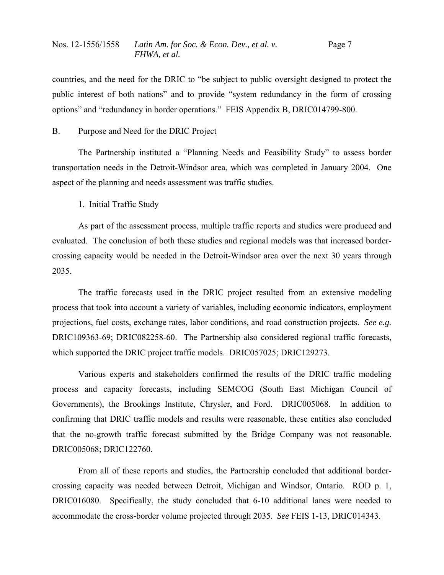countries, and the need for the DRIC to "be subject to public oversight designed to protect the public interest of both nations" and to provide "system redundancy in the form of crossing options" and "redundancy in border operations." FEIS Appendix B, DRIC014799-800.

### B. Purpose and Need for the DRIC Project

 The Partnership instituted a "Planning Needs and Feasibility Study" to assess border transportation needs in the Detroit-Windsor area, which was completed in January 2004. One aspect of the planning and needs assessment was traffic studies.

# 1. Initial Traffic Study

 As part of the assessment process, multiple traffic reports and studies were produced and evaluated. The conclusion of both these studies and regional models was that increased bordercrossing capacity would be needed in the Detroit-Windsor area over the next 30 years through 2035.

 The traffic forecasts used in the DRIC project resulted from an extensive modeling process that took into account a variety of variables, including economic indicators, employment projections, fuel costs, exchange rates, labor conditions, and road construction projects. *See e.g.*  DRIC109363-69; DRIC082258-60. The Partnership also considered regional traffic forecasts, which supported the DRIC project traffic models. DRIC057025; DRIC129273.

 Various experts and stakeholders confirmed the results of the DRIC traffic modeling process and capacity forecasts, including SEMCOG (South East Michigan Council of Governments), the Brookings Institute, Chrysler, and Ford. DRIC005068. In addition to confirming that DRIC traffic models and results were reasonable, these entities also concluded that the no-growth traffic forecast submitted by the Bridge Company was not reasonable. DRIC005068; DRIC122760.

 From all of these reports and studies, the Partnership concluded that additional bordercrossing capacity was needed between Detroit, Michigan and Windsor, Ontario. ROD p. 1, DRIC016080. Specifically, the study concluded that 6-10 additional lanes were needed to accommodate the cross-border volume projected through 2035. *See* FEIS 1-13, DRIC014343.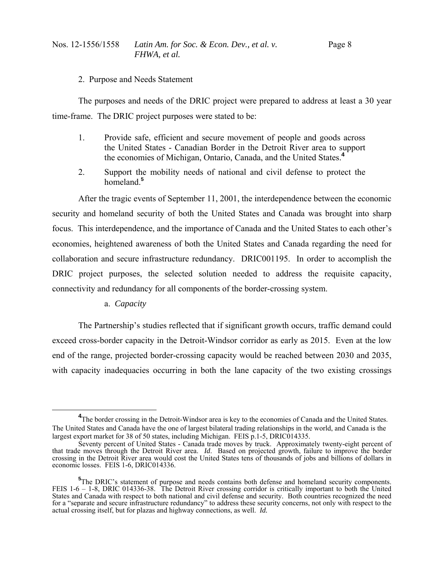2. Purpose and Needs Statement

 The purposes and needs of the DRIC project were prepared to address at least a 30 year time-frame. The DRIC project purposes were stated to be:

- 1. Provide safe, efficient and secure movement of people and goods across the United States - Canadian Border in the Detroit River area to support the economies of Michigan, Ontario, Canada, and the United States.**<sup>4</sup>**
- 2. Support the mobility needs of national and civil defense to protect the homeland.**<sup>5</sup>**

 After the tragic events of September 11, 2001, the interdependence between the economic security and homeland security of both the United States and Canada was brought into sharp focus. This interdependence, and the importance of Canada and the United States to each other's economies, heightened awareness of both the United States and Canada regarding the need for collaboration and secure infrastructure redundancy. DRIC001195. In order to accomplish the DRIC project purposes, the selected solution needed to address the requisite capacity, connectivity and redundancy for all components of the border-crossing system.

a. *Capacity*

 The Partnership's studies reflected that if significant growth occurs, traffic demand could exceed cross-border capacity in the Detroit-Windsor corridor as early as 2015. Even at the low end of the range, projected border-crossing capacity would be reached between 2030 and 2035, with capacity inadequacies occurring in both the lane capacity of the two existing crossings

**<sup>4</sup>** <sup>4</sup>The border crossing in the Detroit-Windsor area is key to the economies of Canada and the United States. The United States and Canada have the one of largest bilateral trading relationships in the world, and Canada is the largest export market for 38 of 50 states, including Michigan. FEIS p.1-5, DRIC014335. largest export market for 38 of 50 states, including Michigan. FEIS p.1-5, DRIC014335.<br>Seventy percent of United States - Canada trade moves by truck. Approximately twenty-eight percent of

that trade moves through the Detroit River area. *Id*. Based on projected growth, failure to improve the border crossing in the Detroit River area would cost the United States tens of thousands of jobs and billions of dollars in economic losses. FEIS 1-6, DRIC014336.

<sup>&</sup>lt;sup>5</sup>The DRIC's statement of purpose and needs contains both defense and homeland security components. FEIS 1-6 – 1-8, DRIC 014336-38. The Detroit River crossing corridor is critically important to both the United States and Canada with respect to both national and civil defense and security. Both countries recognized the need for a "separate and secure infrastructure redundancy" to address these security concerns, not only with respect to the actual crossing itself, but for plazas and highway connections, as well. *Id.*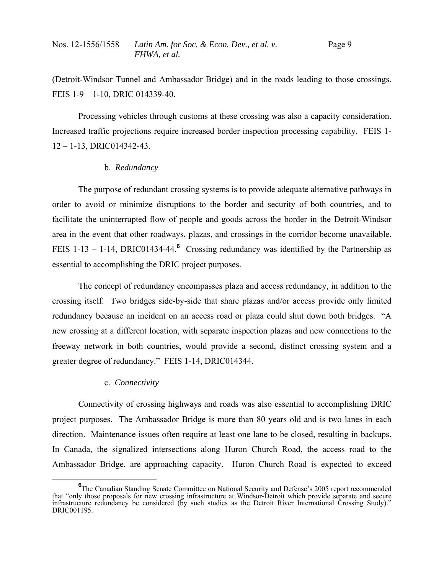(Detroit-Windsor Tunnel and Ambassador Bridge) and in the roads leading to those crossings. FEIS 1-9 – 1-10, DRIC 014339-40.

 Processing vehicles through customs at these crossing was also a capacity consideration. Increased traffic projections require increased border inspection processing capability. FEIS 1- 12 – 1-13, DRIC014342-43.

## b. *Redundancy*

 The purpose of redundant crossing systems is to provide adequate alternative pathways in order to avoid or minimize disruptions to the border and security of both countries, and to facilitate the uninterrupted flow of people and goods across the border in the Detroit-Windsor area in the event that other roadways, plazas, and crossings in the corridor become unavailable. FEIS 1-13 – 1-14, DRIC01434-44.<sup>6</sup> Crossing redundancy was identified by the Partnership as essential to accomplishing the DRIC project purposes.

 The concept of redundancy encompasses plaza and access redundancy, in addition to the crossing itself. Two bridges side-by-side that share plazas and/or access provide only limited redundancy because an incident on an access road or plaza could shut down both bridges. "A new crossing at a different location, with separate inspection plazas and new connections to the freeway network in both countries, would provide a second, distinct crossing system and a greater degree of redundancy." FEIS 1-14, DRIC014344.

# c. *Connectivity*

 Connectivity of crossing highways and roads was also essential to accomplishing DRIC project purposes. The Ambassador Bridge is more than 80 years old and is two lanes in each direction. Maintenance issues often require at least one lane to be closed, resulting in backups. In Canada, the signalized intersections along Huron Church Road, the access road to the Ambassador Bridge, are approaching capacity. Huron Church Road is expected to exceed

**<sup>6</sup>** <sup>6</sup>The Canadian Standing Senate Committee on National Security and Defense's 2005 report recommended that "only those proposals for new crossing infrastructure at Windsor-Detroit which provide separate and secure infrastructure redundancy be considered (by such studies as the Detroit River International Crossing Study)." DRIC001195.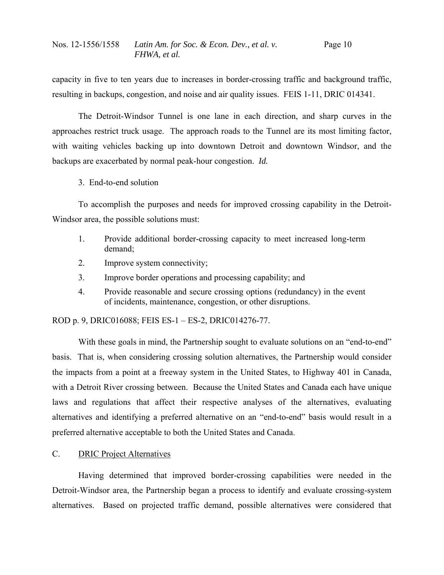capacity in five to ten years due to increases in border-crossing traffic and background traffic, resulting in backups, congestion, and noise and air quality issues. FEIS 1-11, DRIC 014341.

 The Detroit-Windsor Tunnel is one lane in each direction, and sharp curves in the approaches restrict truck usage. The approach roads to the Tunnel are its most limiting factor, with waiting vehicles backing up into downtown Detroit and downtown Windsor, and the backups are exacerbated by normal peak-hour congestion. *Id.*

3. End-to-end solution

 To accomplish the purposes and needs for improved crossing capability in the Detroit-Windsor area, the possible solutions must:

- 1. Provide additional border-crossing capacity to meet increased long-term demand;
- 2. Improve system connectivity;
- 3. Improve border operations and processing capability; and
- 4. Provide reasonable and secure crossing options (redundancy) in the event of incidents, maintenance, congestion, or other disruptions.

ROD p. 9, DRIC016088; FEIS ES-1 – ES-2, DRIC014276-77.

With these goals in mind, the Partnership sought to evaluate solutions on an "end-to-end" basis. That is, when considering crossing solution alternatives, the Partnership would consider the impacts from a point at a freeway system in the United States, to Highway 401 in Canada, with a Detroit River crossing between. Because the United States and Canada each have unique laws and regulations that affect their respective analyses of the alternatives, evaluating alternatives and identifying a preferred alternative on an "end-to-end" basis would result in a preferred alternative acceptable to both the United States and Canada.

C. DRIC Project Alternatives

 Having determined that improved border-crossing capabilities were needed in the Detroit-Windsor area, the Partnership began a process to identify and evaluate crossing-system alternatives. Based on projected traffic demand, possible alternatives were considered that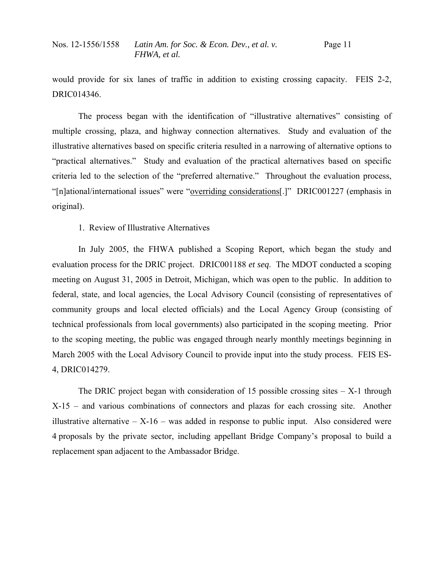would provide for six lanes of traffic in addition to existing crossing capacity. FEIS 2-2, DRIC014346.

 The process began with the identification of "illustrative alternatives" consisting of multiple crossing, plaza, and highway connection alternatives. Study and evaluation of the illustrative alternatives based on specific criteria resulted in a narrowing of alternative options to "practical alternatives." Study and evaluation of the practical alternatives based on specific criteria led to the selection of the "preferred alternative." Throughout the evaluation process, "[n]ational/international issues" were "overriding considerations[.]" DRIC001227 (emphasis in original).

1. Review of Illustrative Alternatives

 In July 2005, the FHWA published a Scoping Report, which began the study and evaluation process for the DRIC project. DRIC001188 *et seq*. The MDOT conducted a scoping meeting on August 31, 2005 in Detroit, Michigan, which was open to the public. In addition to federal, state, and local agencies, the Local Advisory Council (consisting of representatives of community groups and local elected officials) and the Local Agency Group (consisting of technical professionals from local governments) also participated in the scoping meeting. Prior to the scoping meeting, the public was engaged through nearly monthly meetings beginning in March 2005 with the Local Advisory Council to provide input into the study process. FEIS ES-4, DRIC014279.

The DRIC project began with consideration of 15 possible crossing sites  $- X-1$  through X-15 – and various combinations of connectors and plazas for each crossing site. Another illustrative alternative  $- X-16 - w$  as added in response to public input. Also considered were 4 proposals by the private sector, including appellant Bridge Company's proposal to build a replacement span adjacent to the Ambassador Bridge.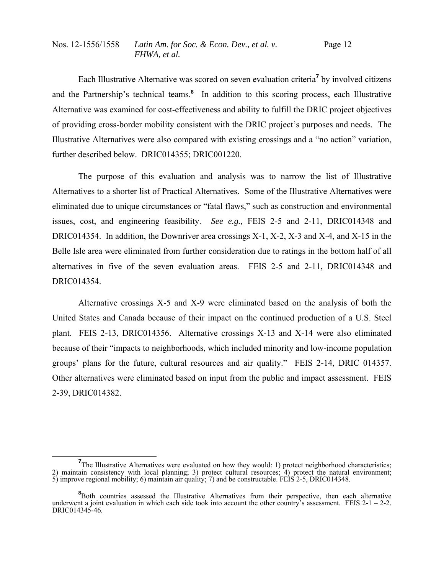Each Illustrative Alternative was scored on seven evaluation criteria<sup>7</sup> by involved citizens and the Partnership's technical teams.<sup>8</sup> In addition to this scoring process, each Illustrative Alternative was examined for cost-effectiveness and ability to fulfill the DRIC project objectives of providing cross-border mobility consistent with the DRIC project's purposes and needs. The Illustrative Alternatives were also compared with existing crossings and a "no action" variation, further described below. DRIC014355; DRIC001220.

 The purpose of this evaluation and analysis was to narrow the list of Illustrative Alternatives to a shorter list of Practical Alternatives. Some of the Illustrative Alternatives were eliminated due to unique circumstances or "fatal flaws," such as construction and environmental issues, cost, and engineering feasibility. *See e.g.,* FEIS 2-5 and 2-11, DRIC014348 and DRIC014354. In addition, the Downriver area crossings X-1, X-2, X-3 and X-4, and X-15 in the Belle Isle area were eliminated from further consideration due to ratings in the bottom half of all alternatives in five of the seven evaluation areas. FEIS 2-5 and 2-11, DRIC014348 and DRIC014354.

 Alternative crossings X-5 and X-9 were eliminated based on the analysis of both the United States and Canada because of their impact on the continued production of a U.S. Steel plant. FEIS 2-13, DRIC014356. Alternative crossings X-13 and X-14 were also eliminated because of their "impacts to neighborhoods, which included minority and low-income population groups' plans for the future, cultural resources and air quality." FEIS 2-14, DRIC 014357. Other alternatives were eliminated based on input from the public and impact assessment. FEIS 2-39, DRIC014382.

**<sup>7</sup>** <sup>7</sup>The Illustrative Alternatives were evaluated on how they would: 1) protect neighborhood characteristics; 2) maintain consistency with local planning; 3) protect cultural resources; 4) protect the natural environment; 5) improve regional mobility; 6) maintain air quality; 7) and be constructable. FEIS 2-5, DRIC014348.

<sup>&</sup>lt;sup>8</sup>Both countries assessed the Illustrative Alternatives from their perspective, then each alternative underwent a joint evaluation in which each side took into account the other country's assessment. FEIS 2-1 – 2-2. DRIC014345-46.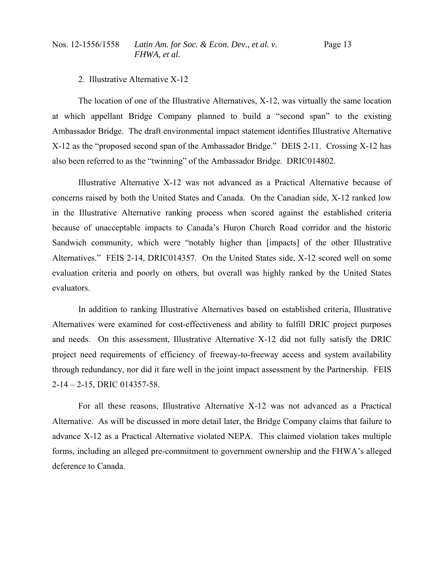### 2. Illustrative Alternative X-12

 The location of one of the Illustrative Alternatives, X-12, was virtually the same location at which appellant Bridge Company planned to build a "second span" to the existing Ambassador Bridge. The draft environmental impact statement identifies Illustrative Alternative X-12 as the "proposed second span of the Ambassador Bridge." DEIS 2-11. Crossing X-12 has also been referred to as the "twinning" of the Ambassador Bridge. DRIC014802.

 Illustrative Alternative X-12 was not advanced as a Practical Alternative because of concerns raised by both the United States and Canada. On the Canadian side, X-12 ranked low in the Illustrative Alternative ranking process when scored against the established criteria because of unacceptable impacts to Canada's Huron Church Road corridor and the historic Sandwich community, which were "notably higher than [impacts] of the other Illustrative Alternatives." FEIS 2-14, DRIC014357. On the United States side, X-12 scored well on some evaluation criteria and poorly on others, but overall was highly ranked by the United States evaluators.

 In addition to ranking Illustrative Alternatives based on established criteria, Illustrative Alternatives were examined for cost-effectiveness and ability to fulfill DRIC project purposes and needs. On this assessment, Illustrative Alternative X-12 did not fully satisfy the DRIC project need requirements of efficiency of freeway-to-freeway access and system availability through redundancy, nor did it fare well in the joint impact assessment by the Partnership. FEIS 2-14 – 2-15, DRIC 014357-58.

 For all these reasons, Illustrative Alternative X-12 was not advanced as a Practical Alternative. As will be discussed in more detail later, the Bridge Company claims that failure to advance X-12 as a Practical Alternative violated NEPA. This claimed violation takes multiple forms, including an alleged pre-commitment to government ownership and the FHWA's alleged deference to Canada.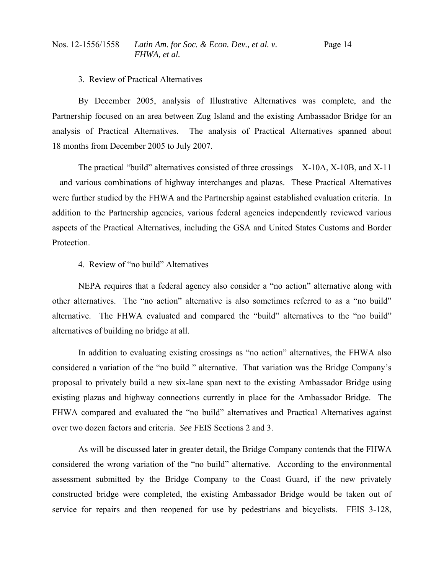### 3. Review of Practical Alternatives

 By December 2005, analysis of Illustrative Alternatives was complete, and the Partnership focused on an area between Zug Island and the existing Ambassador Bridge for an analysis of Practical Alternatives. The analysis of Practical Alternatives spanned about 18 months from December 2005 to July 2007.

 The practical "build" alternatives consisted of three crossings – X-10A, X-10B, and X-11 – and various combinations of highway interchanges and plazas. These Practical Alternatives were further studied by the FHWA and the Partnership against established evaluation criteria. In addition to the Partnership agencies, various federal agencies independently reviewed various aspects of the Practical Alternatives, including the GSA and United States Customs and Border Protection.

# 4. Review of "no build" Alternatives

 NEPA requires that a federal agency also consider a "no action" alternative along with other alternatives. The "no action" alternative is also sometimes referred to as a "no build" alternative. The FHWA evaluated and compared the "build" alternatives to the "no build" alternatives of building no bridge at all.

 In addition to evaluating existing crossings as "no action" alternatives, the FHWA also considered a variation of the "no build " alternative. That variation was the Bridge Company's proposal to privately build a new six-lane span next to the existing Ambassador Bridge using existing plazas and highway connections currently in place for the Ambassador Bridge. The FHWA compared and evaluated the "no build" alternatives and Practical Alternatives against over two dozen factors and criteria. *See* FEIS Sections 2 and 3.

 As will be discussed later in greater detail, the Bridge Company contends that the FHWA considered the wrong variation of the "no build" alternative. According to the environmental assessment submitted by the Bridge Company to the Coast Guard, if the new privately constructed bridge were completed, the existing Ambassador Bridge would be taken out of service for repairs and then reopened for use by pedestrians and bicyclists. FEIS 3-128,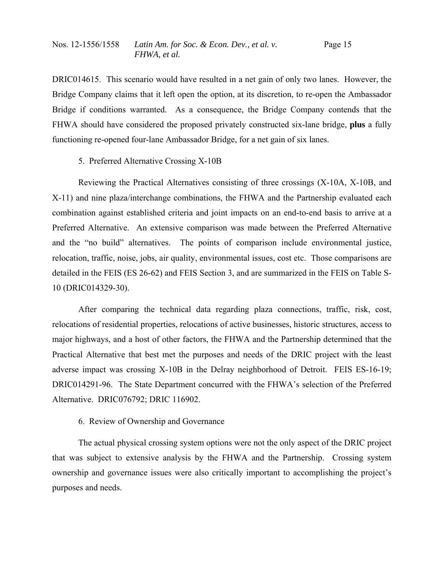DRIC014615. This scenario would have resulted in a net gain of only two lanes. However, the Bridge Company claims that it left open the option, at its discretion, to re-open the Ambassador Bridge if conditions warranted. As a consequence, the Bridge Company contends that the FHWA should have considered the proposed privately constructed six-lane bridge, **plus** a fully functioning re-opened four-lane Ambassador Bridge, for a net gain of six lanes.

# 5. Preferred Alternative Crossing X-10B

 Reviewing the Practical Alternatives consisting of three crossings (X-10A, X-10B, and X-11) and nine plaza/interchange combinations, the FHWA and the Partnership evaluated each combination against established criteria and joint impacts on an end-to-end basis to arrive at a Preferred Alternative. An extensive comparison was made between the Preferred Alternative and the "no build" alternatives. The points of comparison include environmental justice, relocation, traffic, noise, jobs, air quality, environmental issues, cost etc. Those comparisons are detailed in the FEIS (ES 26-62) and FEIS Section 3, and are summarized in the FEIS on Table S-10 (DRIC014329-30).

 After comparing the technical data regarding plaza connections, traffic, risk, cost, relocations of residential properties, relocations of active businesses, historic structures, access to major highways, and a host of other factors, the FHWA and the Partnership determined that the Practical Alternative that best met the purposes and needs of the DRIC project with the least adverse impact was crossing X-10B in the Delray neighborhood of Detroit. FEIS ES-16-19; DRIC014291-96. The State Department concurred with the FHWA's selection of the Preferred Alternative. DRIC076792; DRIC 116902.

# 6. Review of Ownership and Governance

 The actual physical crossing system options were not the only aspect of the DRIC project that was subject to extensive analysis by the FHWA and the Partnership. Crossing system ownership and governance issues were also critically important to accomplishing the project's purposes and needs.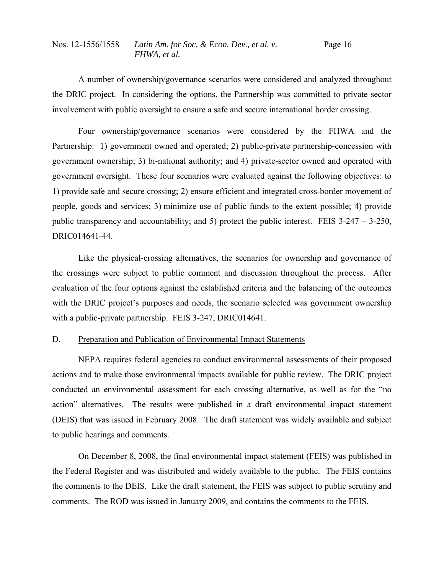A number of ownership/governance scenarios were considered and analyzed throughout the DRIC project. In considering the options, the Partnership was committed to private sector involvement with public oversight to ensure a safe and secure international border crossing.

 Four ownership/governance scenarios were considered by the FHWA and the Partnership: 1) government owned and operated; 2) public-private partnership-concession with government ownership; 3) bi-national authority; and 4) private-sector owned and operated with government oversight. These four scenarios were evaluated against the following objectives: to 1) provide safe and secure crossing; 2) ensure efficient and integrated cross-border movement of people, goods and services; 3) minimize use of public funds to the extent possible; 4) provide public transparency and accountability; and 5) protect the public interest. FEIS 3-247 – 3-250, DRIC014641-44.

 Like the physical-crossing alternatives, the scenarios for ownership and governance of the crossings were subject to public comment and discussion throughout the process. After evaluation of the four options against the established criteria and the balancing of the outcomes with the DRIC project's purposes and needs, the scenario selected was government ownership with a public-private partnership. FEIS 3-247, DRIC014641.

## D. Preparation and Publication of Environmental Impact Statements

 NEPA requires federal agencies to conduct environmental assessments of their proposed actions and to make those environmental impacts available for public review. The DRIC project conducted an environmental assessment for each crossing alternative, as well as for the "no action" alternatives. The results were published in a draft environmental impact statement (DEIS) that was issued in February 2008. The draft statement was widely available and subject to public hearings and comments.

 On December 8, 2008, the final environmental impact statement (FEIS) was published in the Federal Register and was distributed and widely available to the public. The FEIS contains the comments to the DEIS. Like the draft statement, the FEIS was subject to public scrutiny and comments. The ROD was issued in January 2009, and contains the comments to the FEIS.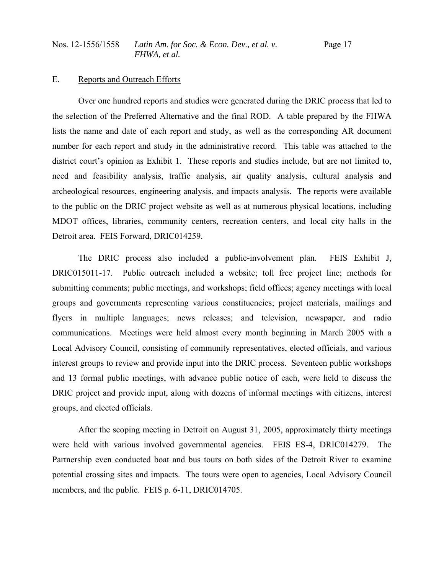### E. Reports and Outreach Efforts

 Over one hundred reports and studies were generated during the DRIC process that led to the selection of the Preferred Alternative and the final ROD. A table prepared by the FHWA lists the name and date of each report and study, as well as the corresponding AR document number for each report and study in the administrative record. This table was attached to the district court's opinion as Exhibit 1. These reports and studies include, but are not limited to, need and feasibility analysis, traffic analysis, air quality analysis, cultural analysis and archeological resources, engineering analysis, and impacts analysis. The reports were available to the public on the DRIC project website as well as at numerous physical locations, including MDOT offices, libraries, community centers, recreation centers, and local city halls in the Detroit area. FEIS Forward, DRIC014259.

 The DRIC process also included a public-involvement plan. FEIS Exhibit J, DRIC015011-17. Public outreach included a website; toll free project line; methods for submitting comments; public meetings, and workshops; field offices; agency meetings with local groups and governments representing various constituencies; project materials, mailings and flyers in multiple languages; news releases; and television, newspaper, and radio communications. Meetings were held almost every month beginning in March 2005 with a Local Advisory Council, consisting of community representatives, elected officials, and various interest groups to review and provide input into the DRIC process. Seventeen public workshops and 13 formal public meetings, with advance public notice of each, were held to discuss the DRIC project and provide input, along with dozens of informal meetings with citizens, interest groups, and elected officials.

 After the scoping meeting in Detroit on August 31, 2005, approximately thirty meetings were held with various involved governmental agencies. FEIS ES-4, DRIC014279. The Partnership even conducted boat and bus tours on both sides of the Detroit River to examine potential crossing sites and impacts. The tours were open to agencies, Local Advisory Council members, and the public. FEIS p. 6-11, DRIC014705.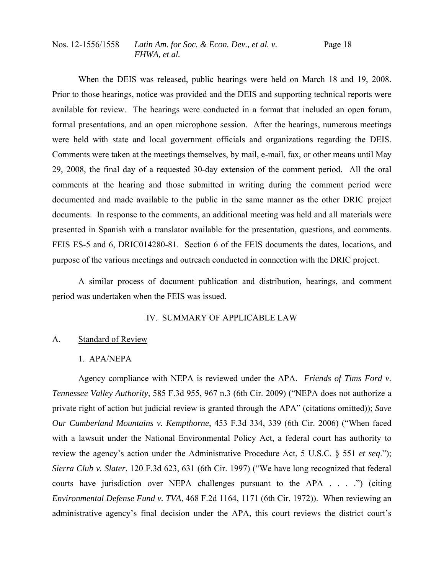When the DEIS was released, public hearings were held on March 18 and 19, 2008. Prior to those hearings, notice was provided and the DEIS and supporting technical reports were available for review. The hearings were conducted in a format that included an open forum, formal presentations, and an open microphone session. After the hearings, numerous meetings were held with state and local government officials and organizations regarding the DEIS. Comments were taken at the meetings themselves, by mail, e-mail, fax, or other means until May 29, 2008, the final day of a requested 30-day extension of the comment period. All the oral comments at the hearing and those submitted in writing during the comment period were documented and made available to the public in the same manner as the other DRIC project documents. In response to the comments, an additional meeting was held and all materials were presented in Spanish with a translator available for the presentation, questions, and comments. FEIS ES-5 and 6, DRIC014280-81. Section 6 of the FEIS documents the dates, locations, and purpose of the various meetings and outreach conducted in connection with the DRIC project.

 A similar process of document publication and distribution, hearings, and comment period was undertaken when the FEIS was issued.

### IV. SUMMARY OF APPLICABLE LAW

### A. Standard of Review

## 1. APA/NEPA

 Agency compliance with NEPA is reviewed under the APA. *Friends of Tims Ford v. Tennessee Valley Authority,* 585 F.3d 955, 967 n.3 (6th Cir. 2009) ("NEPA does not authorize a private right of action but judicial review is granted through the APA" (citations omitted)); *Save Our Cumberland Mountains v. Kempthorne*, 453 F.3d 334, 339 (6th Cir. 2006) ("When faced with a lawsuit under the National Environmental Policy Act, a federal court has authority to review the agency's action under the Administrative Procedure Act, 5 U.S.C. § 551 *et seq*."); *Sierra Club v. Slater*, 120 F.3d 623, 631 (6th Cir. 1997) ("We have long recognized that federal courts have jurisdiction over NEPA challenges pursuant to the APA . . . .") (citing *Environmental Defense Fund v. TVA*, 468 F.2d 1164, 1171 (6th Cir. 1972)). When reviewing an administrative agency's final decision under the APA, this court reviews the district court's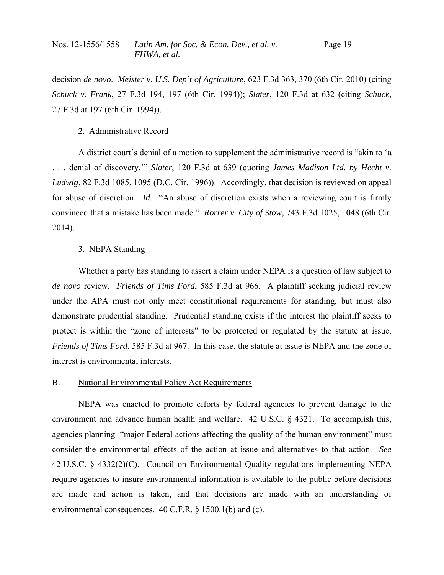decision *de novo*. *Meister v. U.S. Dep't of Agriculture*, 623 F.3d 363, 370 (6th Cir. 2010) (citing *Schuck v. Frank*, 27 F.3d 194, 197 (6th Cir. 1994)); *Slater*, 120 F.3d at 632 (citing *Schuck*, 27 F.3d at 197 (6th Cir. 1994)).

## 2. Administrative Record

 A district court's denial of a motion to supplement the administrative record is "akin to 'a . . . denial of discovery.'" *Slater*, 120 F.3d at 639 (quoting *James Madison Ltd. by Hecht v. Ludwig*, 82 F.3d 1085, 1095 (D.C. Cir. 1996)). Accordingly, that decision is reviewed on appeal for abuse of discretion. *Id.* "An abuse of discretion exists when a reviewing court is firmly convinced that a mistake has been made." *Rorrer v. City of Stow*, 743 F.3d 1025, 1048 (6th Cir. 2014).

## 3. NEPA Standing

 Whether a party has standing to assert a claim under NEPA is a question of law subject to *de novo* review. *Friends of Tims Ford*, 585 F.3d at 966. A plaintiff seeking judicial review under the APA must not only meet constitutional requirements for standing, but must also demonstrate prudential standing. Prudential standing exists if the interest the plaintiff seeks to protect is within the "zone of interests" to be protected or regulated by the statute at issue. *Friends of Tims Ford*, 585 F.3d at 967. In this case, the statute at issue is NEPA and the zone of interest is environmental interests.

### B. National Environmental Policy Act Requirements

 NEPA was enacted to promote efforts by federal agencies to prevent damage to the environment and advance human health and welfare. 42 U.S.C. § 4321. To accomplish this, agencies planning "major Federal actions affecting the quality of the human environment" must consider the environmental effects of the action at issue and alternatives to that action. *See* 42 U.S.C. § 4332(2)(C). Council on Environmental Quality regulations implementing NEPA require agencies to insure environmental information is available to the public before decisions are made and action is taken, and that decisions are made with an understanding of environmental consequences. 40 C.F.R. § 1500.1(b) and (c).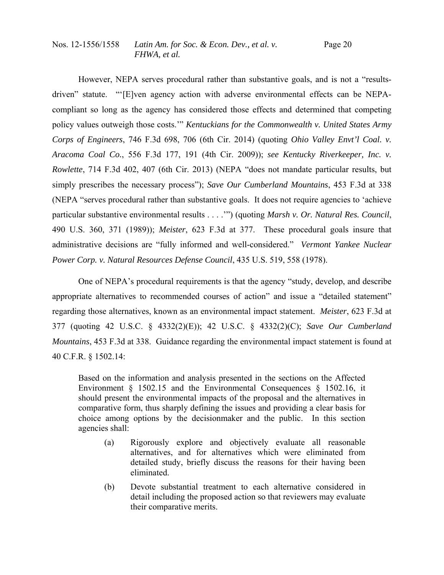However, NEPA serves procedural rather than substantive goals, and is not a "resultsdriven" statute. "'[E]ven agency action with adverse environmental effects can be NEPAcompliant so long as the agency has considered those effects and determined that competing policy values outweigh those costs.'" *Kentuckians for the Commonwealth v. United States Army Corps of Engineers*, 746 F.3d 698, 706 (6th Cir. 2014) (quoting *Ohio Valley Envt'l Coal. v. Aracoma Coal Co.*, 556 F.3d 177, 191 (4th Cir. 2009)); *see Kentucky Riverkeeper, Inc. v. Rowlette*, 714 F.3d 402, 407 (6th Cir. 2013) (NEPA "does not mandate particular results, but simply prescribes the necessary process"); *Save Our Cumberland Mountains*, 453 F.3d at 338 (NEPA "serves procedural rather than substantive goals. It does not require agencies to 'achieve particular substantive environmental results . . . .'") (quoting *Marsh v. Or. Natural Res. Council*, 490 U.S. 360, 371 (1989)); *Meister*, 623 F.3d at 377. These procedural goals insure that administrative decisions are "fully informed and well-considered." *Vermont Yankee Nuclear Power Corp. v. Natural Resources Defense Council*, 435 U.S. 519, 558 (1978).

 One of NEPA's procedural requirements is that the agency "study, develop, and describe appropriate alternatives to recommended courses of action" and issue a "detailed statement" regarding those alternatives, known as an environmental impact statement. *Meister*, 623 F.3d at 377 (quoting 42 U.S.C. § 4332(2)(E)); 42 U.S.C. § 4332(2)(C); *Save Our Cumberland Mountains*, 453 F.3d at 338. Guidance regarding the environmental impact statement is found at 40 C.F.R. § 1502.14:

Based on the information and analysis presented in the sections on the Affected Environment § 1502.15 and the Environmental Consequences § 1502.16, it should present the environmental impacts of the proposal and the alternatives in comparative form, thus sharply defining the issues and providing a clear basis for choice among options by the decisionmaker and the public. In this section agencies shall:

- (a) Rigorously explore and objectively evaluate all reasonable alternatives, and for alternatives which were eliminated from detailed study, briefly discuss the reasons for their having been eliminated.
- (b) Devote substantial treatment to each alternative considered in detail including the proposed action so that reviewers may evaluate their comparative merits.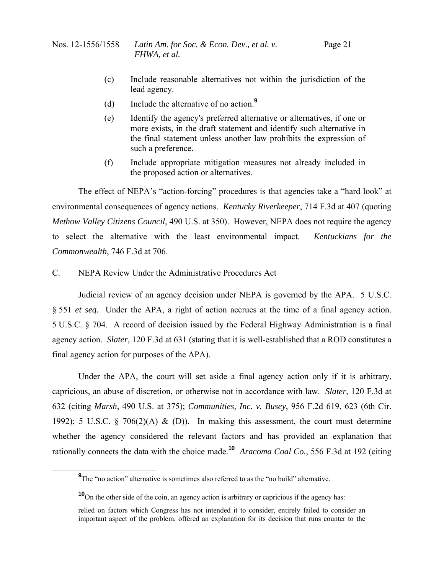- (c) Include reasonable alternatives not within the jurisdiction of the lead agency.
- (d) Include the alternative of no action.**<sup>9</sup>**
- (e) Identify the agency's preferred alternative or alternatives, if one or more exists, in the draft statement and identify such alternative in the final statement unless another law prohibits the expression of such a preference.
- (f) Include appropriate mitigation measures not already included in the proposed action or alternatives.

 The effect of NEPA's "action-forcing" procedures is that agencies take a "hard look" at environmental consequences of agency actions. *Kentucky Riverkeeper*, 714 F.3d at 407 (quoting *Methow Valley Citizens Council,* 490 U.S. at 350). However, NEPA does not require the agency to select the alternative with the least environmental impact. *Kentuckians for the Commonwealth*, 746 F.3d at 706.

# C. NEPA Review Under the Administrative Procedures Act

 Judicial review of an agency decision under NEPA is governed by the APA. 5 U.S.C. § 551 *et seq.* Under the APA, a right of action accrues at the time of a final agency action. 5 U.S.C. § 704. A record of decision issued by the Federal Highway Administration is a final agency action. *Slater*, 120 F.3d at 631 (stating that it is well-established that a ROD constitutes a final agency action for purposes of the APA).

 Under the APA, the court will set aside a final agency action only if it is arbitrary, capricious, an abuse of discretion, or otherwise not in accordance with law. *Slater*, 120 F.3d at 632 (citing *Marsh*, 490 U.S. at 375); *Communities, Inc. v. Busey*, 956 F.2d 619, 623 (6th Cir. 1992); 5 U.S.C. § 706(2)(A) & (D)). In making this assessment, the court must determine whether the agency considered the relevant factors and has provided an explanation that rationally connects the data with the choice made.**<sup>10</sup>** *Aracoma Coal Co.*, 556 F.3d at 192 (citing

**<sup>9</sup> 9**The "no action" alternative is sometimes also referred to as the "no build" alternative.

**<sup>10</sup>**On the other side of the coin, an agency action is arbitrary or capricious if the agency has:

relied on factors which Congress has not intended it to consider, entirely failed to consider an important aspect of the problem, offered an explanation for its decision that runs counter to the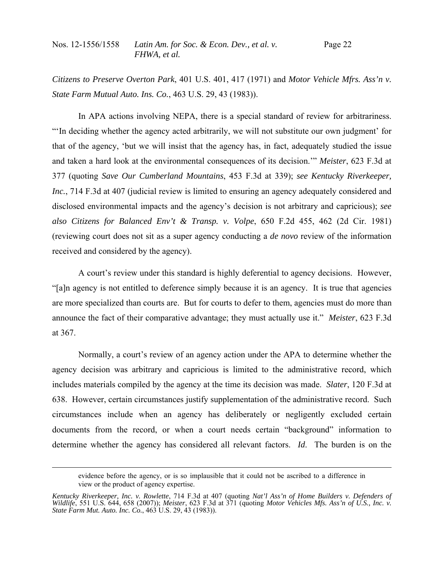*Citizens to Preserve Overton Park*, 401 U.S. 401, 417 (1971) and *Motor Vehicle Mfrs. Ass'n v. State Farm Mutual Auto. Ins. Co.*, 463 U.S. 29, 43 (1983)).

In APA actions involving NEPA, there is a special standard of review for arbitrariness. "'In deciding whether the agency acted arbitrarily, we will not substitute our own judgment' for that of the agency, 'but we will insist that the agency has, in fact, adequately studied the issue and taken a hard look at the environmental consequences of its decision.'" *Meister*, 623 F.3d at 377 (quoting *Save Our Cumberland Mountains*, 453 F.3d at 339); *see Kentucky Riverkeeper, Inc.*, 714 F.3d at 407 (judicial review is limited to ensuring an agency adequately considered and disclosed environmental impacts and the agency's decision is not arbitrary and capricious); *see also Citizens for Balanced Env't & Transp. v. Volpe*, 650 F.2d 455, 462 (2d Cir. 1981) (reviewing court does not sit as a super agency conducting a *de novo* review of the information received and considered by the agency).

 A court's review under this standard is highly deferential to agency decisions. However, "[a]n agency is not entitled to deference simply because it is an agency. It is true that agencies are more specialized than courts are. But for courts to defer to them, agencies must do more than announce the fact of their comparative advantage; they must actually use it." *Meister*, 623 F.3d at 367.

 Normally, a court's review of an agency action under the APA to determine whether the agency decision was arbitrary and capricious is limited to the administrative record, which includes materials compiled by the agency at the time its decision was made. *Slater*, 120 F.3d at 638. However, certain circumstances justify supplementation of the administrative record. Such circumstances include when an agency has deliberately or negligently excluded certain documents from the record, or when a court needs certain "background" information to determine whether the agency has considered all relevant factors. *Id*. The burden is on the

evidence before the agency, or is so implausible that it could not be ascribed to a difference in view or the product of agency expertise.

*Kentucky Riverkeeper, Inc. v. Rowlette*, 714 F.3d at 407 (quoting *Nat'l Ass'n of Home Builders v. Defenders of Wildlife*, 551 U.S. 644, 658 (2007)); *Meister*, 623 F.3d at 371 (quoting *Motor Vehicles Mfs. Ass'n of U.S., Inc. v. State Farm Mut. Auto. Inc. Co.*, 463 U.S. 29, 43 (1983)).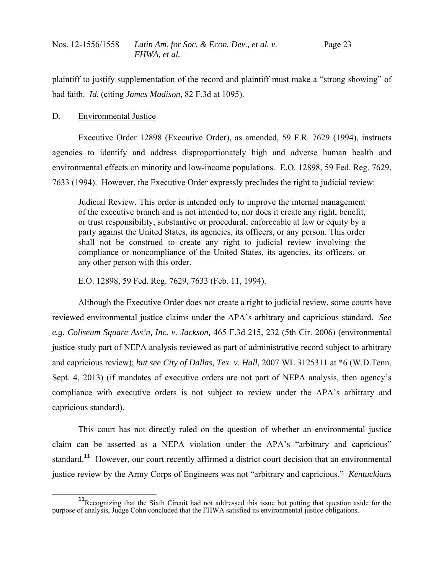plaintiff to justify supplementation of the record and plaintiff must make a "strong showing" of bad faith. *Id.* (citing *James Madison*, 82 F.3d at 1095).

# D. Environmental Justice

 Executive Order 12898 (Executive Order), as amended, 59 F.R. 7629 (1994), instructs agencies to identify and address disproportionately high and adverse human health and environmental effects on minority and low-income populations. E.O. 12898, 59 Fed. Reg. 7629, 7633 (1994). However, the Executive Order expressly precludes the right to judicial review:

Judicial Review. This order is intended only to improve the internal management of the executive branch and is not intended to, nor does it create any right, benefit, or trust responsibility, substantive or procedural, enforceable at law or equity by a party against the United States, its agencies, its officers, or any person. This order shall not be construed to create any right to judicial review involving the compliance or noncompliance of the United States, its agencies, its officers, or any other person with this order.

E.O. 12898, 59 Fed. Reg. 7629, 7633 (Feb. 11, 1994).

 Although the Executive Order does not create a right to judicial review, some courts have reviewed environmental justice claims under the APA's arbitrary and capricious standard. *See e.g. Coliseum Square Ass'n, Inc. v. Jackson,* 465 F.3d 215, 232 (5th Cir. 2006) (environmental justice study part of NEPA analysis reviewed as part of administrative record subject to arbitrary and capricious review); *but see City of Dallas, Tex. v. Hall,* 2007 WL 3125311 at \*6 (W.D.Tenn. Sept. 4, 2013) (if mandates of executive orders are not part of NEPA analysis, then agency's compliance with executive orders is not subject to review under the APA's arbitrary and capricious standard).

 This court has not directly ruled on the question of whether an environmental justice claim can be asserted as a NEPA violation under the APA's "arbitrary and capricious" standard.**<sup>11</sup>** However, our court recently affirmed a district court decision that an environmental justice review by the Army Corps of Engineers was not "arbitrary and capricious." *Kentuckians* 

**<sup>11</sup>**<br>Recognizing that the Sixth Circuit had not addressed this issue but putting that question aside for the purpose of analysis, Judge Cohn concluded that the FHWA satisfied its environmental justice obligations.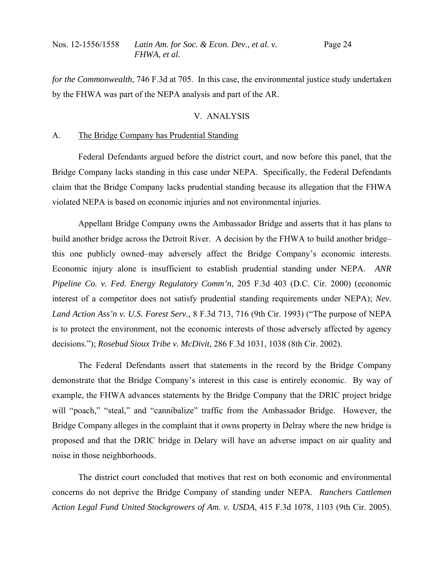| Nos. 12-1556/1558 | Latin Am. for Soc. & Econ. Dev., et al. v. | Page 24 |
|-------------------|--------------------------------------------|---------|
|                   | FHWA, et al.                               |         |

*for the Commonwealth*, 746 F.3d at 705. In this case, the environmental justice study undertaken by the FHWA was part of the NEPA analysis and part of the AR.

# V. ANALYSIS

## A. The Bridge Company has Prudential Standing

 Federal Defendants argued before the district court, and now before this panel, that the Bridge Company lacks standing in this case under NEPA. Specifically, the Federal Defendants claim that the Bridge Company lacks prudential standing because its allegation that the FHWA violated NEPA is based on economic injuries and not environmental injuries.

 Appellant Bridge Company owns the Ambassador Bridge and asserts that it has plans to build another bridge across the Detroit River. A decision by the FHWA to build another bridge– this one publicly owned–may adversely affect the Bridge Company's economic interests. Economic injury alone is insufficient to establish prudential standing under NEPA. *ANR Pipeline Co. v. Fed. Energy Regulatory Comm'n*, 205 F.3d 403 (D.C. Cir. 2000) (economic interest of a competitor does not satisfy prudential standing requirements under NEPA); *Nev. Land Action Ass'n v. U.S. Forest Serv.,* 8 F.3d 713, 716 (9th Cir. 1993) ("The purpose of NEPA is to protect the environment, not the economic interests of those adversely affected by agency decisions."); *Rosebud Sioux Tribe v. McDivit*, 286 F.3d 1031, 1038 (8th Cir. 2002).

 The Federal Defendants assert that statements in the record by the Bridge Company demonstrate that the Bridge Company's interest in this case is entirely economic. By way of example, the FHWA advances statements by the Bridge Company that the DRIC project bridge will "poach," "steal," and "cannibalize" traffic from the Ambassador Bridge. However, the Bridge Company alleges in the complaint that it owns property in Delray where the new bridge is proposed and that the DRIC bridge in Delary will have an adverse impact on air quality and noise in those neighborhoods.

 The district court concluded that motives that rest on both economic and environmental concerns do not deprive the Bridge Company of standing under NEPA. *Ranchers Cattlemen Action Legal Fund United Stockgrowers of Am. v. USDA*, 415 F.3d 1078, 1103 (9th Cir. 2005).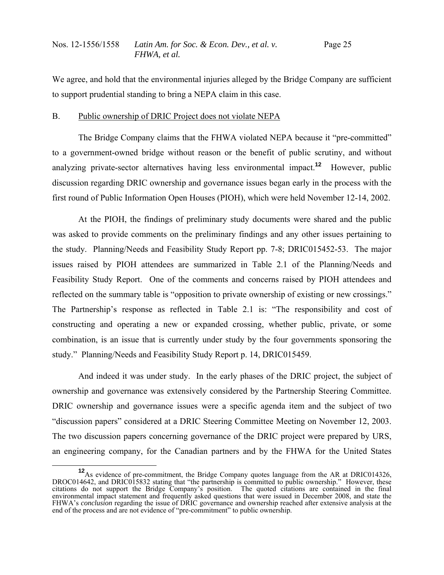We agree, and hold that the environmental injuries alleged by the Bridge Company are sufficient to support prudential standing to bring a NEPA claim in this case.

# B. Public ownership of DRIC Project does not violate NEPA

 The Bridge Company claims that the FHWA violated NEPA because it "pre-committed" to a government-owned bridge without reason or the benefit of public scrutiny, and without analyzing private-sector alternatives having less environmental impact.**<sup>12</sup>** However, public discussion regarding DRIC ownership and governance issues began early in the process with the first round of Public Information Open Houses (PIOH), which were held November 12-14, 2002.

 At the PIOH, the findings of preliminary study documents were shared and the public was asked to provide comments on the preliminary findings and any other issues pertaining to the study. Planning/Needs and Feasibility Study Report pp. 7-8; DRIC015452-53. The major issues raised by PIOH attendees are summarized in Table 2.1 of the Planning/Needs and Feasibility Study Report. One of the comments and concerns raised by PIOH attendees and reflected on the summary table is "opposition to private ownership of existing or new crossings." The Partnership's response as reflected in Table 2.1 is: "The responsibility and cost of constructing and operating a new or expanded crossing, whether public, private, or some combination, is an issue that is currently under study by the four governments sponsoring the study." Planning/Needs and Feasibility Study Report p. 14, DRIC015459.

 And indeed it was under study. In the early phases of the DRIC project, the subject of ownership and governance was extensively considered by the Partnership Steering Committee. DRIC ownership and governance issues were a specific agenda item and the subject of two "discussion papers" considered at a DRIC Steering Committee Meeting on November 12, 2003. The two discussion papers concerning governance of the DRIC project were prepared by URS, an engineering company, for the Canadian partners and by the FHWA for the United States

<sup>&</sup>lt;sup>12</sup>As evidence of pre-commitment, the Bridge Company quotes language from the AR at DRIC014326, DROC014642, and DRIC015832 stating that "the partnership is committed to public ownership." However, these citations do not support the Bridge Company's position. The quoted citations are contained in the final environmental impact statement and frequently asked questions that were issued in December 2008, and state the FHWA's *conclusion* regarding the issue of DRIC governance and ownership reached after extensive analysis at the end of the process and are not evidence of "pre-commitment" to public ownership.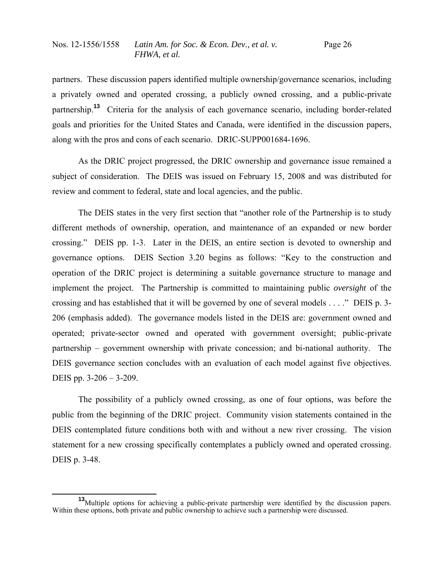partners. These discussion papers identified multiple ownership/governance scenarios, including a privately owned and operated crossing, a publicly owned crossing, and a public-private partnership.**<sup>13</sup>** Criteria for the analysis of each governance scenario, including border-related goals and priorities for the United States and Canada, were identified in the discussion papers, along with the pros and cons of each scenario. DRIC-SUPP001684-1696.

 As the DRIC project progressed, the DRIC ownership and governance issue remained a subject of consideration. The DEIS was issued on February 15, 2008 and was distributed for review and comment to federal, state and local agencies, and the public.

 The DEIS states in the very first section that "another role of the Partnership is to study different methods of ownership, operation, and maintenance of an expanded or new border crossing." DEIS pp. 1-3. Later in the DEIS, an entire section is devoted to ownership and governance options. DEIS Section 3.20 begins as follows: "Key to the construction and operation of the DRIC project is determining a suitable governance structure to manage and implement the project. The Partnership is committed to maintaining public *oversight* of the crossing and has established that it will be governed by one of several models . . . ." DEIS p. 3- 206 (emphasis added). The governance models listed in the DEIS are: government owned and operated; private-sector owned and operated with government oversight; public-private partnership – government ownership with private concession; and bi-national authority. The DEIS governance section concludes with an evaluation of each model against five objectives. DEIS pp. 3-206 – 3-209.

 The possibility of a publicly owned crossing, as one of four options, was before the public from the beginning of the DRIC project. Community vision statements contained in the DEIS contemplated future conditions both with and without a new river crossing. The vision statement for a new crossing specifically contemplates a publicly owned and operated crossing. DEIS p. 3-48.

**<sup>13</sup>**Multiple options for achieving a public-private partnership were identified by the discussion papers. Within these options, both private and public ownership to achieve such a partnership were discussed.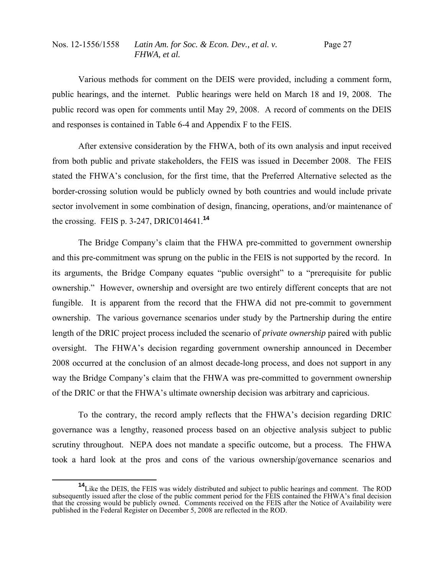Various methods for comment on the DEIS were provided, including a comment form, public hearings, and the internet. Public hearings were held on March 18 and 19, 2008. The public record was open for comments until May 29, 2008. A record of comments on the DEIS and responses is contained in Table 6-4 and Appendix F to the FEIS.

 After extensive consideration by the FHWA, both of its own analysis and input received from both public and private stakeholders, the FEIS was issued in December 2008. The FEIS stated the FHWA's conclusion, for the first time, that the Preferred Alternative selected as the border-crossing solution would be publicly owned by both countries and would include private sector involvement in some combination of design, financing, operations, and/or maintenance of the crossing. FEIS p. 3-247, DRIC014641.**<sup>14</sup>**

 The Bridge Company's claim that the FHWA pre-committed to government ownership and this pre-commitment was sprung on the public in the FEIS is not supported by the record. In its arguments, the Bridge Company equates "public oversight" to a "prerequisite for public ownership." However, ownership and oversight are two entirely different concepts that are not fungible. It is apparent from the record that the FHWA did not pre-commit to government ownership. The various governance scenarios under study by the Partnership during the entire length of the DRIC project process included the scenario of *private ownership* paired with public oversight. The FHWA's decision regarding government ownership announced in December 2008 occurred at the conclusion of an almost decade-long process, and does not support in any way the Bridge Company's claim that the FHWA was pre-committed to government ownership of the DRIC or that the FHWA's ultimate ownership decision was arbitrary and capricious.

 To the contrary, the record amply reflects that the FHWA's decision regarding DRIC governance was a lengthy, reasoned process based on an objective analysis subject to public scrutiny throughout. NEPA does not mandate a specific outcome, but a process. The FHWA took a hard look at the pros and cons of the various ownership/governance scenarios and

**<sup>14</sup>**Like the DEIS, the FEIS was widely distributed and subject to public hearings and comment. The ROD subsequently issued after the close of the public comment period for the FEIS contained the FHWA's final decision that the crossing would be publicly owned. Comments received on the FEIS after the Notice of Availability were published in the Federal Register on December 5, 2008 are reflected in the ROD.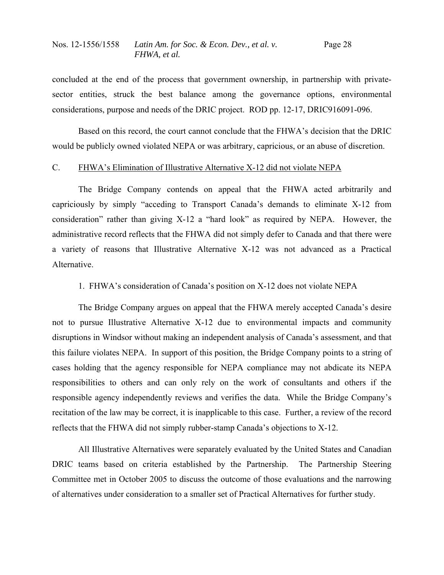concluded at the end of the process that government ownership, in partnership with privatesector entities, struck the best balance among the governance options, environmental considerations, purpose and needs of the DRIC project. ROD pp. 12-17, DRIC916091-096.

 Based on this record, the court cannot conclude that the FHWA's decision that the DRIC would be publicly owned violated NEPA or was arbitrary, capricious, or an abuse of discretion.

# C. FHWA's Elimination of Illustrative Alternative X-12 did not violate NEPA

 The Bridge Company contends on appeal that the FHWA acted arbitrarily and capriciously by simply "acceding to Transport Canada's demands to eliminate X-12 from consideration" rather than giving X-12 a "hard look" as required by NEPA. However, the administrative record reflects that the FHWA did not simply defer to Canada and that there were a variety of reasons that Illustrative Alternative X-12 was not advanced as a Practical Alternative.

1. FHWA's consideration of Canada's position on X-12 does not violate NEPA

 The Bridge Company argues on appeal that the FHWA merely accepted Canada's desire not to pursue Illustrative Alternative X-12 due to environmental impacts and community disruptions in Windsor without making an independent analysis of Canada's assessment, and that this failure violates NEPA. In support of this position, the Bridge Company points to a string of cases holding that the agency responsible for NEPA compliance may not abdicate its NEPA responsibilities to others and can only rely on the work of consultants and others if the responsible agency independently reviews and verifies the data. While the Bridge Company's recitation of the law may be correct, it is inapplicable to this case. Further, a review of the record reflects that the FHWA did not simply rubber-stamp Canada's objections to X-12.

 All Illustrative Alternatives were separately evaluated by the United States and Canadian DRIC teams based on criteria established by the Partnership. The Partnership Steering Committee met in October 2005 to discuss the outcome of those evaluations and the narrowing of alternatives under consideration to a smaller set of Practical Alternatives for further study.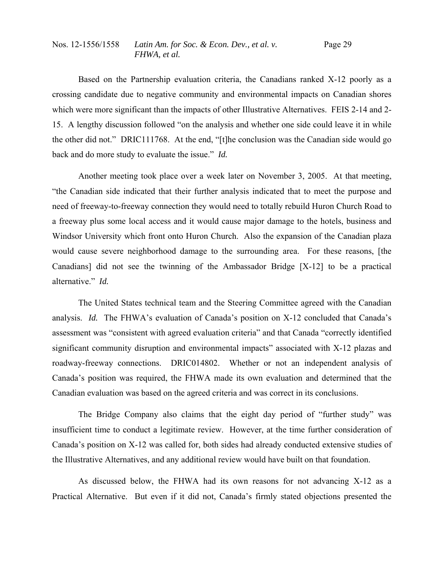Based on the Partnership evaluation criteria, the Canadians ranked X-12 poorly as a crossing candidate due to negative community and environmental impacts on Canadian shores which were more significant than the impacts of other Illustrative Alternatives. FEIS 2-14 and 2- 15. A lengthy discussion followed "on the analysis and whether one side could leave it in while the other did not." DRIC111768. At the end, "[t]he conclusion was the Canadian side would go back and do more study to evaluate the issue." *Id.*

 Another meeting took place over a week later on November 3, 2005. At that meeting, "the Canadian side indicated that their further analysis indicated that to meet the purpose and need of freeway-to-freeway connection they would need to totally rebuild Huron Church Road to a freeway plus some local access and it would cause major damage to the hotels, business and Windsor University which front onto Huron Church. Also the expansion of the Canadian plaza would cause severe neighborhood damage to the surrounding area. For these reasons, [the Canadians] did not see the twinning of the Ambassador Bridge [X-12] to be a practical alternative." *Id.* 

 The United States technical team and the Steering Committee agreed with the Canadian analysis. *Id.* The FHWA's evaluation of Canada's position on X-12 concluded that Canada's assessment was "consistent with agreed evaluation criteria" and that Canada "correctly identified significant community disruption and environmental impacts" associated with X-12 plazas and roadway-freeway connections. DRIC014802. Whether or not an independent analysis of Canada's position was required, the FHWA made its own evaluation and determined that the Canadian evaluation was based on the agreed criteria and was correct in its conclusions.

 The Bridge Company also claims that the eight day period of "further study" was insufficient time to conduct a legitimate review. However, at the time further consideration of Canada's position on X-12 was called for, both sides had already conducted extensive studies of the Illustrative Alternatives, and any additional review would have built on that foundation.

 As discussed below, the FHWA had its own reasons for not advancing X-12 as a Practical Alternative. But even if it did not, Canada's firmly stated objections presented the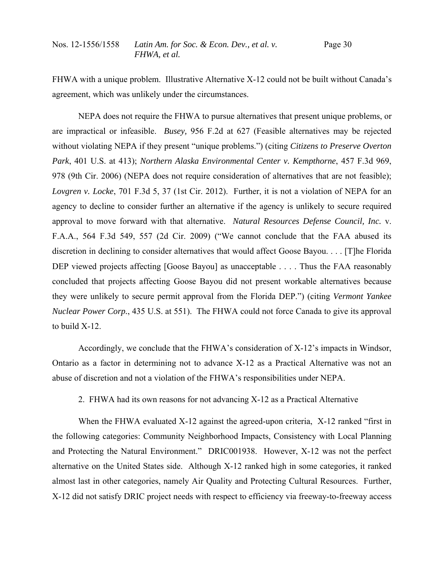FHWA with a unique problem. Illustrative Alternative X-12 could not be built without Canada's agreement, which was unlikely under the circumstances.

 NEPA does not require the FHWA to pursue alternatives that present unique problems, or are impractical or infeasible. *Busey,* 956 F.2d at 627 (Feasible alternatives may be rejected without violating NEPA if they present "unique problems.") (citing *Citizens to Preserve Overton Park*, 401 U.S. at 413); *Northern Alaska Environmental Center v. Kempthorne*, 457 F.3d 969, 978 (9th Cir. 2006) (NEPA does not require consideration of alternatives that are not feasible); *Lovgren v. Locke*, 701 F.3d 5, 37 (1st Cir. 2012). Further, it is not a violation of NEPA for an agency to decline to consider further an alternative if the agency is unlikely to secure required approval to move forward with that alternative. *Natural Resources Defense Council, Inc.* v. F.A.A., 564 F.3d 549, 557 (2d Cir. 2009) ("We cannot conclude that the FAA abused its discretion in declining to consider alternatives that would affect Goose Bayou. . . . [T]he Florida DEP viewed projects affecting [Goose Bayou] as unacceptable . . . . Thus the FAA reasonably concluded that projects affecting Goose Bayou did not present workable alternatives because they were unlikely to secure permit approval from the Florida DEP.") (citing *Vermont Yankee Nuclear Power Corp.*, 435 U.S. at 551). The FHWA could not force Canada to give its approval to build X-12.

 Accordingly, we conclude that the FHWA's consideration of X-12's impacts in Windsor, Ontario as a factor in determining not to advance X-12 as a Practical Alternative was not an abuse of discretion and not a violation of the FHWA's responsibilities under NEPA.

2. FHWA had its own reasons for not advancing X-12 as a Practical Alternative

When the FHWA evaluated X-12 against the agreed-upon criteria, X-12 ranked "first in the following categories: Community Neighborhood Impacts, Consistency with Local Planning and Protecting the Natural Environment." DRIC001938. However, X-12 was not the perfect alternative on the United States side. Although X-12 ranked high in some categories, it ranked almost last in other categories, namely Air Quality and Protecting Cultural Resources. Further, X-12 did not satisfy DRIC project needs with respect to efficiency via freeway-to-freeway access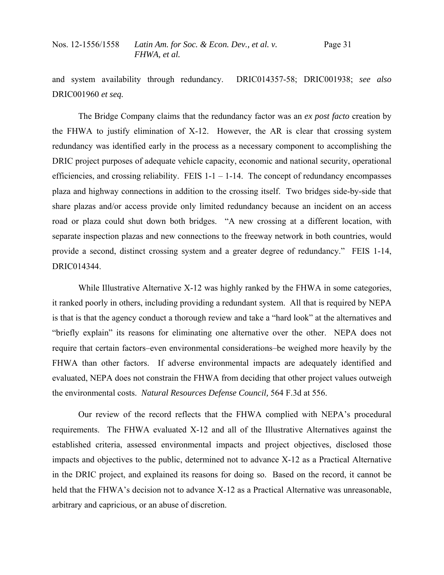and system availability through redundancy. DRIC014357-58; DRIC001938; *see also*  DRIC001960 *et seq.*

 The Bridge Company claims that the redundancy factor was an *ex post facto* creation by the FHWA to justify elimination of X-12. However, the AR is clear that crossing system redundancy was identified early in the process as a necessary component to accomplishing the DRIC project purposes of adequate vehicle capacity, economic and national security, operational efficiencies, and crossing reliability. FEIS  $1 - 1 - 1 - 14$ . The concept of redundancy encompasses plaza and highway connections in addition to the crossing itself. Two bridges side-by-side that share plazas and/or access provide only limited redundancy because an incident on an access road or plaza could shut down both bridges. "A new crossing at a different location, with separate inspection plazas and new connections to the freeway network in both countries, would provide a second, distinct crossing system and a greater degree of redundancy." FEIS 1-14, DRIC014344.

While Illustrative Alternative X-12 was highly ranked by the FHWA in some categories, it ranked poorly in others, including providing a redundant system. All that is required by NEPA is that is that the agency conduct a thorough review and take a "hard look" at the alternatives and "briefly explain" its reasons for eliminating one alternative over the other. NEPA does not require that certain factors–even environmental considerations–be weighed more heavily by the FHWA than other factors. If adverse environmental impacts are adequately identified and evaluated, NEPA does not constrain the FHWA from deciding that other project values outweigh the environmental costs. *Natural Resources Defense Council,* 564 F.3d at 556.

 Our review of the record reflects that the FHWA complied with NEPA's procedural requirements. The FHWA evaluated X-12 and all of the Illustrative Alternatives against the established criteria, assessed environmental impacts and project objectives, disclosed those impacts and objectives to the public, determined not to advance X-12 as a Practical Alternative in the DRIC project, and explained its reasons for doing so. Based on the record, it cannot be held that the FHWA's decision not to advance X-12 as a Practical Alternative was unreasonable, arbitrary and capricious, or an abuse of discretion.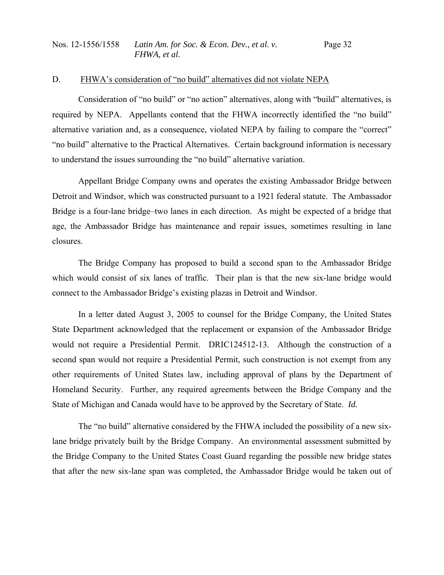### D. FHWA's consideration of "no build" alternatives did not violate NEPA

 Consideration of "no build" or "no action" alternatives, along with "build" alternatives, is required by NEPA. Appellants contend that the FHWA incorrectly identified the "no build" alternative variation and, as a consequence, violated NEPA by failing to compare the "correct" "no build" alternative to the Practical Alternatives. Certain background information is necessary to understand the issues surrounding the "no build" alternative variation.

 Appellant Bridge Company owns and operates the existing Ambassador Bridge between Detroit and Windsor, which was constructed pursuant to a 1921 federal statute. The Ambassador Bridge is a four-lane bridge–two lanes in each direction. As might be expected of a bridge that age, the Ambassador Bridge has maintenance and repair issues, sometimes resulting in lane closures.

 The Bridge Company has proposed to build a second span to the Ambassador Bridge which would consist of six lanes of traffic. Their plan is that the new six-lane bridge would connect to the Ambassador Bridge's existing plazas in Detroit and Windsor.

 In a letter dated August 3, 2005 to counsel for the Bridge Company, the United States State Department acknowledged that the replacement or expansion of the Ambassador Bridge would not require a Presidential Permit. DRIC124512-13. Although the construction of a second span would not require a Presidential Permit, such construction is not exempt from any other requirements of United States law, including approval of plans by the Department of Homeland Security. Further, any required agreements between the Bridge Company and the State of Michigan and Canada would have to be approved by the Secretary of State. *Id.*

 The "no build" alternative considered by the FHWA included the possibility of a new sixlane bridge privately built by the Bridge Company. An environmental assessment submitted by the Bridge Company to the United States Coast Guard regarding the possible new bridge states that after the new six-lane span was completed, the Ambassador Bridge would be taken out of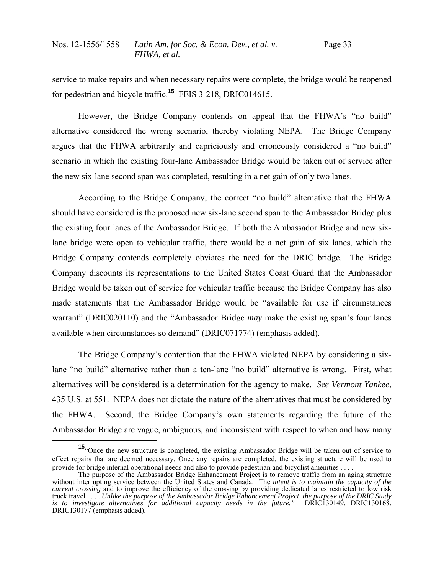service to make repairs and when necessary repairs were complete, the bridge would be reopened for pedestrian and bicycle traffic.**<sup>15</sup>** FEIS 3-218, DRIC014615.

 However, the Bridge Company contends on appeal that the FHWA's "no build" alternative considered the wrong scenario, thereby violating NEPA. The Bridge Company argues that the FHWA arbitrarily and capriciously and erroneously considered a "no build" scenario in which the existing four-lane Ambassador Bridge would be taken out of service after the new six-lane second span was completed, resulting in a net gain of only two lanes.

 According to the Bridge Company, the correct "no build" alternative that the FHWA should have considered is the proposed new six-lane second span to the Ambassador Bridge plus the existing four lanes of the Ambassador Bridge. If both the Ambassador Bridge and new sixlane bridge were open to vehicular traffic, there would be a net gain of six lanes, which the Bridge Company contends completely obviates the need for the DRIC bridge. The Bridge Company discounts its representations to the United States Coast Guard that the Ambassador Bridge would be taken out of service for vehicular traffic because the Bridge Company has also made statements that the Ambassador Bridge would be "available for use if circumstances warrant" (DRIC020110) and the "Ambassador Bridge *may* make the existing span's four lanes available when circumstances so demand" (DRIC071774) (emphasis added).

 The Bridge Company's contention that the FHWA violated NEPA by considering a sixlane "no build" alternative rather than a ten-lane "no build" alternative is wrong. First, what alternatives will be considered is a determination for the agency to make. *See Vermont Yankee*, 435 U.S. at 551. NEPA does not dictate the nature of the alternatives that must be considered by the FHWA. Second, the Bridge Company's own statements regarding the future of the Ambassador Bridge are vague, ambiguous, and inconsistent with respect to when and how many

**<sup>15</sup>**"Once the new structure is completed, the existing Ambassador Bridge will be taken out of service to effect repairs that are deemed necessary. Once any repairs are completed, the existing structure will be used to provide for bridge internal operational needs and also to provide pedestrian and bicyclist amenities . . . .

The purpose of the Ambassador Bridge Enhancement Project is to remove traffic from an aging structure without interrupting service between the United States and Canada. The *intent is to maintain the capacity of the current crossing* and to improve the efficiency of the crossing by providing dedicated lanes restricted to low risk truck travel . . . . *Unlike the purpose of the Ambassador Bridge Enhancement Project, the purpose of the DRIC Study is to investigate alternatives for additional capacity needs in the future."* DRIC130149, DRIC130168, DRIC130177 (emphasis added).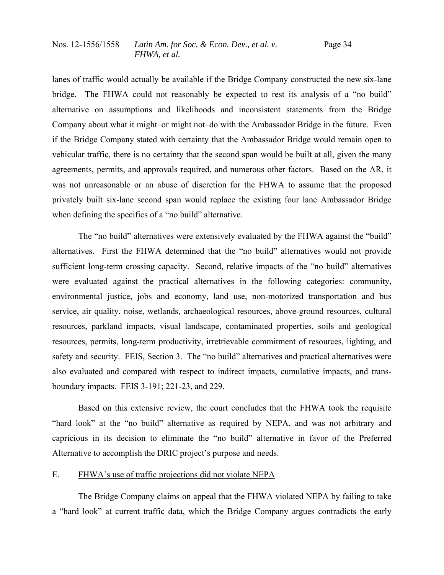lanes of traffic would actually be available if the Bridge Company constructed the new six-lane bridge. The FHWA could not reasonably be expected to rest its analysis of a "no build" alternative on assumptions and likelihoods and inconsistent statements from the Bridge Company about what it might–or might not–do with the Ambassador Bridge in the future. Even if the Bridge Company stated with certainty that the Ambassador Bridge would remain open to vehicular traffic, there is no certainty that the second span would be built at all, given the many agreements, permits, and approvals required, and numerous other factors. Based on the AR, it was not unreasonable or an abuse of discretion for the FHWA to assume that the proposed privately built six-lane second span would replace the existing four lane Ambassador Bridge when defining the specifics of a "no build" alternative.

 The "no build" alternatives were extensively evaluated by the FHWA against the "build" alternatives. First the FHWA determined that the "no build" alternatives would not provide sufficient long-term crossing capacity. Second, relative impacts of the "no build" alternatives were evaluated against the practical alternatives in the following categories: community, environmental justice, jobs and economy, land use, non-motorized transportation and bus service, air quality, noise, wetlands, archaeological resources, above-ground resources, cultural resources, parkland impacts, visual landscape, contaminated properties, soils and geological resources, permits, long-term productivity, irretrievable commitment of resources, lighting, and safety and security. FEIS, Section 3. The "no build" alternatives and practical alternatives were also evaluated and compared with respect to indirect impacts, cumulative impacts, and transboundary impacts. FEIS 3-191; 221-23, and 229.

 Based on this extensive review, the court concludes that the FHWA took the requisite "hard look" at the "no build" alternative as required by NEPA, and was not arbitrary and capricious in its decision to eliminate the "no build" alternative in favor of the Preferred Alternative to accomplish the DRIC project's purpose and needs.

## E. FHWA's use of traffic projections did not violate NEPA

 The Bridge Company claims on appeal that the FHWA violated NEPA by failing to take a "hard look" at current traffic data, which the Bridge Company argues contradicts the early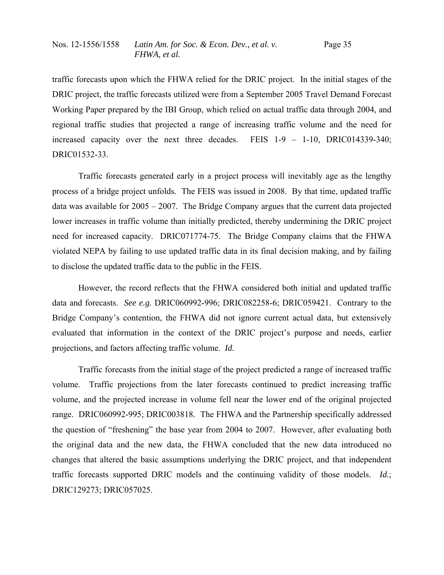traffic forecasts upon which the FHWA relied for the DRIC project. In the initial stages of the DRIC project, the traffic forecasts utilized were from a September 2005 Travel Demand Forecast Working Paper prepared by the IBI Group, which relied on actual traffic data through 2004, and regional traffic studies that projected a range of increasing traffic volume and the need for increased capacity over the next three decades. FEIS 1-9 – 1-10, DRIC014339-340; DRIC01532-33.

 Traffic forecasts generated early in a project process will inevitably age as the lengthy process of a bridge project unfolds. The FEIS was issued in 2008. By that time, updated traffic data was available for 2005 – 2007. The Bridge Company argues that the current data projected lower increases in traffic volume than initially predicted, thereby undermining the DRIC project need for increased capacity. DRIC071774-75. The Bridge Company claims that the FHWA violated NEPA by failing to use updated traffic data in its final decision making, and by failing to disclose the updated traffic data to the public in the FEIS.

 However, the record reflects that the FHWA considered both initial and updated traffic data and forecasts. *See e.g.* DRIC060992-996; DRIC082258-6; DRIC059421. Contrary to the Bridge Company's contention, the FHWA did not ignore current actual data, but extensively evaluated that information in the context of the DRIC project's purpose and needs, earlier projections, and factors affecting traffic volume. *Id.*

 Traffic forecasts from the initial stage of the project predicted a range of increased traffic volume. Traffic projections from the later forecasts continued to predict increasing traffic volume, and the projected increase in volume fell near the lower end of the original projected range. DRIC060992-995; DRIC003818. The FHWA and the Partnership specifically addressed the question of "freshening" the base year from 2004 to 2007. However, after evaluating both the original data and the new data, the FHWA concluded that the new data introduced no changes that altered the basic assumptions underlying the DRIC project, and that independent traffic forecasts supported DRIC models and the continuing validity of those models. *Id.*; DRIC129273; DRIC057025.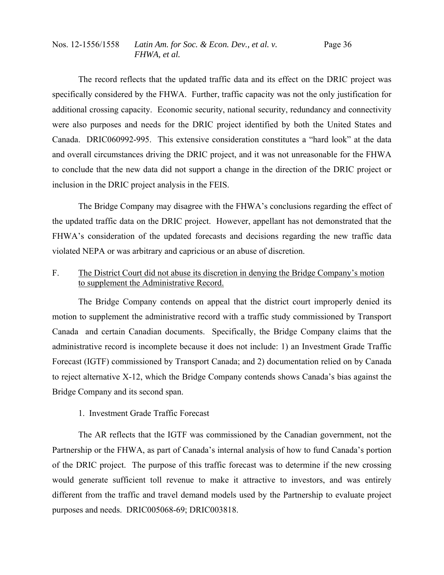The record reflects that the updated traffic data and its effect on the DRIC project was specifically considered by the FHWA. Further, traffic capacity was not the only justification for additional crossing capacity. Economic security, national security, redundancy and connectivity were also purposes and needs for the DRIC project identified by both the United States and Canada. DRIC060992-995. This extensive consideration constitutes a "hard look" at the data and overall circumstances driving the DRIC project, and it was not unreasonable for the FHWA to conclude that the new data did not support a change in the direction of the DRIC project or inclusion in the DRIC project analysis in the FEIS.

 The Bridge Company may disagree with the FHWA's conclusions regarding the effect of the updated traffic data on the DRIC project. However, appellant has not demonstrated that the FHWA's consideration of the updated forecasts and decisions regarding the new traffic data violated NEPA or was arbitrary and capricious or an abuse of discretion.

F. The District Court did not abuse its discretion in denying the Bridge Company's motion to supplement the Administrative Record.

 The Bridge Company contends on appeal that the district court improperly denied its motion to supplement the administrative record with a traffic study commissioned by Transport Canada and certain Canadian documents. Specifically, the Bridge Company claims that the administrative record is incomplete because it does not include: 1) an Investment Grade Traffic Forecast (IGTF) commissioned by Transport Canada; and 2) documentation relied on by Canada to reject alternative X-12, which the Bridge Company contends shows Canada's bias against the Bridge Company and its second span.

# 1. Investment Grade Traffic Forecast

 The AR reflects that the IGTF was commissioned by the Canadian government, not the Partnership or the FHWA, as part of Canada's internal analysis of how to fund Canada's portion of the DRIC project. The purpose of this traffic forecast was to determine if the new crossing would generate sufficient toll revenue to make it attractive to investors, and was entirely different from the traffic and travel demand models used by the Partnership to evaluate project purposes and needs. DRIC005068-69; DRIC003818.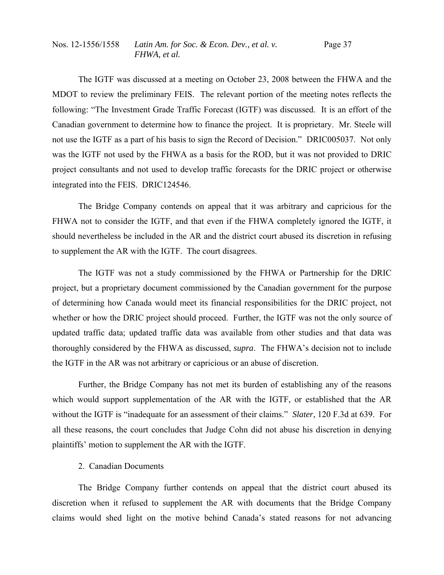The IGTF was discussed at a meeting on October 23, 2008 between the FHWA and the MDOT to review the preliminary FEIS. The relevant portion of the meeting notes reflects the following: "The Investment Grade Traffic Forecast (IGTF) was discussed. It is an effort of the Canadian government to determine how to finance the project. It is proprietary. Mr. Steele will not use the IGTF as a part of his basis to sign the Record of Decision." DRIC005037. Not only was the IGTF not used by the FHWA as a basis for the ROD, but it was not provided to DRIC project consultants and not used to develop traffic forecasts for the DRIC project or otherwise integrated into the FEIS. DRIC124546.

 The Bridge Company contends on appeal that it was arbitrary and capricious for the FHWA not to consider the IGTF, and that even if the FHWA completely ignored the IGTF, it should nevertheless be included in the AR and the district court abused its discretion in refusing to supplement the AR with the IGTF. The court disagrees.

 The IGTF was not a study commissioned by the FHWA or Partnership for the DRIC project, but a proprietary document commissioned by the Canadian government for the purpose of determining how Canada would meet its financial responsibilities for the DRIC project, not whether or how the DRIC project should proceed. Further, the IGTF was not the only source of updated traffic data; updated traffic data was available from other studies and that data was thoroughly considered by the FHWA as discussed, *supra*. The FHWA's decision not to include the IGTF in the AR was not arbitrary or capricious or an abuse of discretion.

 Further, the Bridge Company has not met its burden of establishing any of the reasons which would support supplementation of the AR with the IGTF, or established that the AR without the IGTF is "inadequate for an assessment of their claims." *Slater*, 120 F.3d at 639. For all these reasons, the court concludes that Judge Cohn did not abuse his discretion in denying plaintiffs' motion to supplement the AR with the IGTF.

## 2. Canadian Documents

 The Bridge Company further contends on appeal that the district court abused its discretion when it refused to supplement the AR with documents that the Bridge Company claims would shed light on the motive behind Canada's stated reasons for not advancing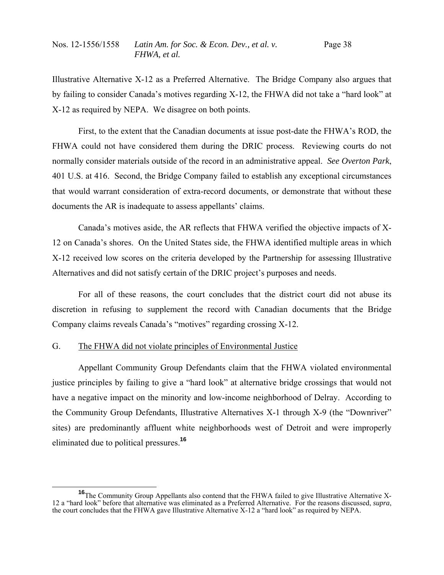Illustrative Alternative X-12 as a Preferred Alternative. The Bridge Company also argues that by failing to consider Canada's motives regarding X-12, the FHWA did not take a "hard look" at X-12 as required by NEPA. We disagree on both points.

 First, to the extent that the Canadian documents at issue post-date the FHWA's ROD, the FHWA could not have considered them during the DRIC process. Reviewing courts do not normally consider materials outside of the record in an administrative appeal. *See Overton Park*, 401 U.S. at 416. Second, the Bridge Company failed to establish any exceptional circumstances that would warrant consideration of extra-record documents, or demonstrate that without these documents the AR is inadequate to assess appellants' claims.

 Canada's motives aside, the AR reflects that FHWA verified the objective impacts of X-12 on Canada's shores. On the United States side, the FHWA identified multiple areas in which X-12 received low scores on the criteria developed by the Partnership for assessing Illustrative Alternatives and did not satisfy certain of the DRIC project's purposes and needs.

 For all of these reasons, the court concludes that the district court did not abuse its discretion in refusing to supplement the record with Canadian documents that the Bridge Company claims reveals Canada's "motives" regarding crossing X-12.

# G. The FHWA did not violate principles of Environmental Justice

 Appellant Community Group Defendants claim that the FHWA violated environmental justice principles by failing to give a "hard look" at alternative bridge crossings that would not have a negative impact on the minority and low-income neighborhood of Delray. According to the Community Group Defendants, Illustrative Alternatives X-1 through X-9 (the "Downriver" sites) are predominantly affluent white neighborhoods west of Detroit and were improperly eliminated due to political pressures.**<sup>16</sup>**

**<sup>16</sup>**The Community Group Appellants also contend that the FHWA failed to give Illustrative Alternative X-12 a "hard look" before that alternative was eliminated as a Preferred Alternative. For the reasons discussed, *supra*, the court concludes that the FHWA gave Illustrative Alternative X-12 a "hard look" as required by NEPA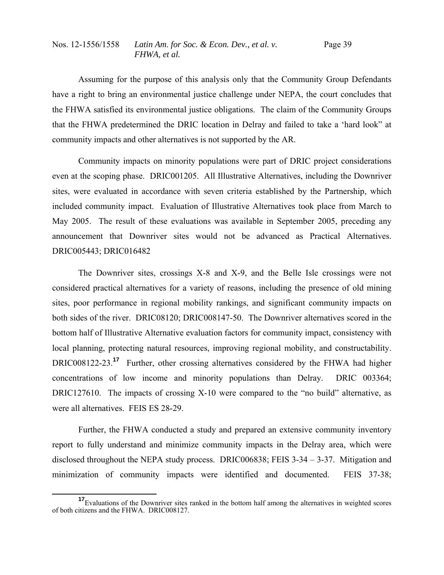Assuming for the purpose of this analysis only that the Community Group Defendants have a right to bring an environmental justice challenge under NEPA, the court concludes that the FHWA satisfied its environmental justice obligations. The claim of the Community Groups that the FHWA predetermined the DRIC location in Delray and failed to take a 'hard look" at community impacts and other alternatives is not supported by the AR.

 Community impacts on minority populations were part of DRIC project considerations even at the scoping phase. DRIC001205. All Illustrative Alternatives, including the Downriver sites, were evaluated in accordance with seven criteria established by the Partnership, which included community impact. Evaluation of Illustrative Alternatives took place from March to May 2005. The result of these evaluations was available in September 2005, preceding any announcement that Downriver sites would not be advanced as Practical Alternatives. DRIC005443; DRIC016482

 The Downriver sites, crossings X-8 and X-9, and the Belle Isle crossings were not considered practical alternatives for a variety of reasons, including the presence of old mining sites, poor performance in regional mobility rankings, and significant community impacts on both sides of the river. DRIC08120; DRIC008147-50. The Downriver alternatives scored in the bottom half of Illustrative Alternative evaluation factors for community impact, consistency with local planning, protecting natural resources, improving regional mobility, and constructability. DRIC008122-23.**<sup>17</sup>** Further, other crossing alternatives considered by the FHWA had higher concentrations of low income and minority populations than Delray. DRIC 003364; DRIC127610. The impacts of crossing X-10 were compared to the "no build" alternative, as were all alternatives. FEIS ES 28-29.

 Further, the FHWA conducted a study and prepared an extensive community inventory report to fully understand and minimize community impacts in the Delray area, which were disclosed throughout the NEPA study process. DRIC006838; FEIS 3-34 – 3-37. Mitigation and minimization of community impacts were identified and documented. FEIS 37-38;

**<sup>17</sup>**Evaluations of the Downriver sites ranked in the bottom half among the alternatives in weighted scores of both citizens and the FHWA. DRIC008127.